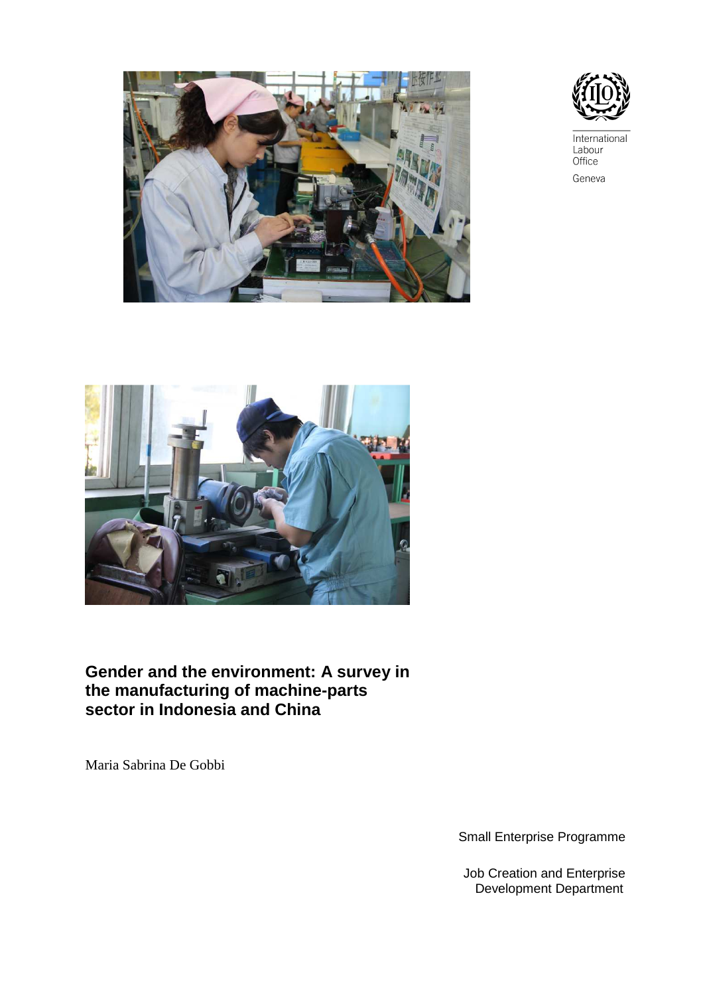



International Labour Office Geneva



# **Gender and the environment: A survey in the manufacturing of machine-parts sector in Indonesia and China**

Maria Sabrina De Gobbi

Small Enterprise Programme

Job Creation and Enterprise Development Department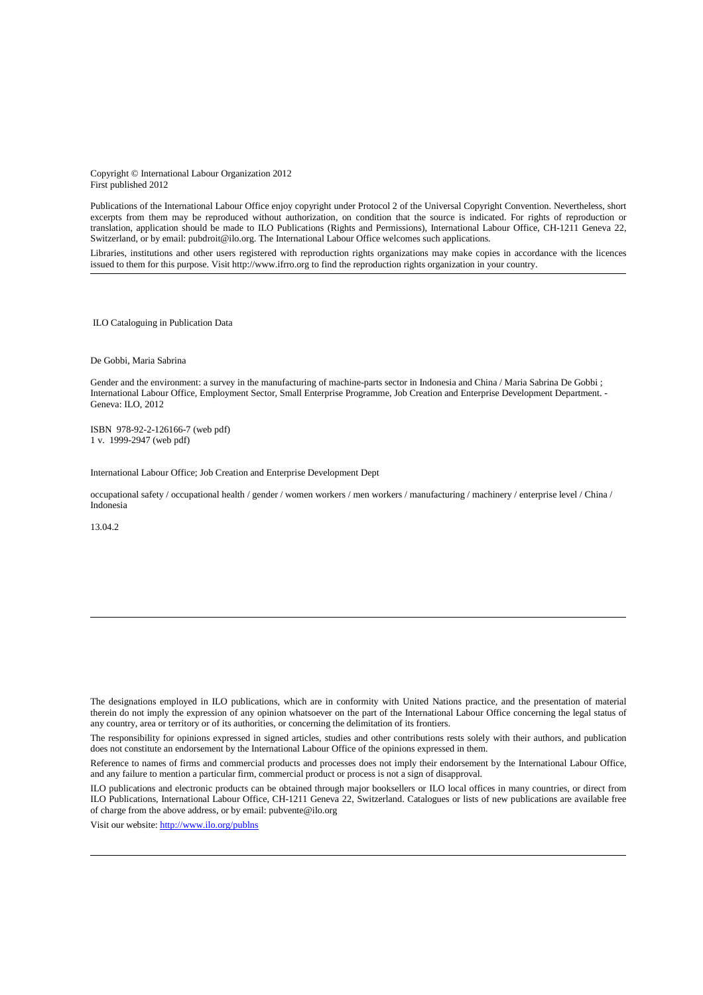Copyright © International Labour Organization 2012 First published 2012

Publications of the International Labour Office enjoy copyright under Protocol 2 of the Universal Copyright Convention. Nevertheless, short excerpts from them may be reproduced without authorization, on condition that the source is indicated. For rights of reproduction or translation, application should be made to ILO Publications (Rights and Permissions), International Labour Office, CH-1211 Geneva 22, Switzerland, or by email: pubdroit@ilo.org. The International Labour Office welcomes such applications.

Libraries, institutions and other users registered with reproduction rights organizations may make copies in accordance with the licences issued to them for this purpose. Visit http://www.ifrro.org to find the reproduction rights organization in your country.

ILO Cataloguing in Publication Data

De Gobbi, Maria Sabrina

Gender and the environment: a survey in the manufacturing of machine-parts sector in Indonesia and China / Maria Sabrina De Gobbi ; International Labour Office, Employment Sector, Small Enterprise Programme, Job Creation and Enterprise Development Department. - Geneva: ILO, 2012

ISBN 978-92-2-126166-7 (web pdf) 1 v. 1999-2947 (web pdf)

International Labour Office; Job Creation and Enterprise Development Dept

occupational safety / occupational health / gender / women workers / men workers / manufacturing / machinery / enterprise level / China / Indonesia

13.04.2

Visit our website: http://www.ilo.org/publns

The designations employed in ILO publications, which are in conformity with United Nations practice, and the presentation of material therein do not imply the expression of any opinion whatsoever on the part of the International Labour Office concerning the legal status of any country, area or territory or of its authorities, or concerning the delimitation of its frontiers.

The responsibility for opinions expressed in signed articles, studies and other contributions rests solely with their authors, and publication does not constitute an endorsement by the International Labour Office of the opinions expressed in them.

Reference to names of firms and commercial products and processes does not imply their endorsement by the International Labour Office, and any failure to mention a particular firm, commercial product or process is not a sign of disapproval.

ILO publications and electronic products can be obtained through major booksellers or ILO local offices in many countries, or direct from ILO Publications, International Labour Office, CH-1211 Geneva 22, Switzerland. Catalogues or lists of new publications are available free of charge from the above address, or by email: pubvente@ilo.org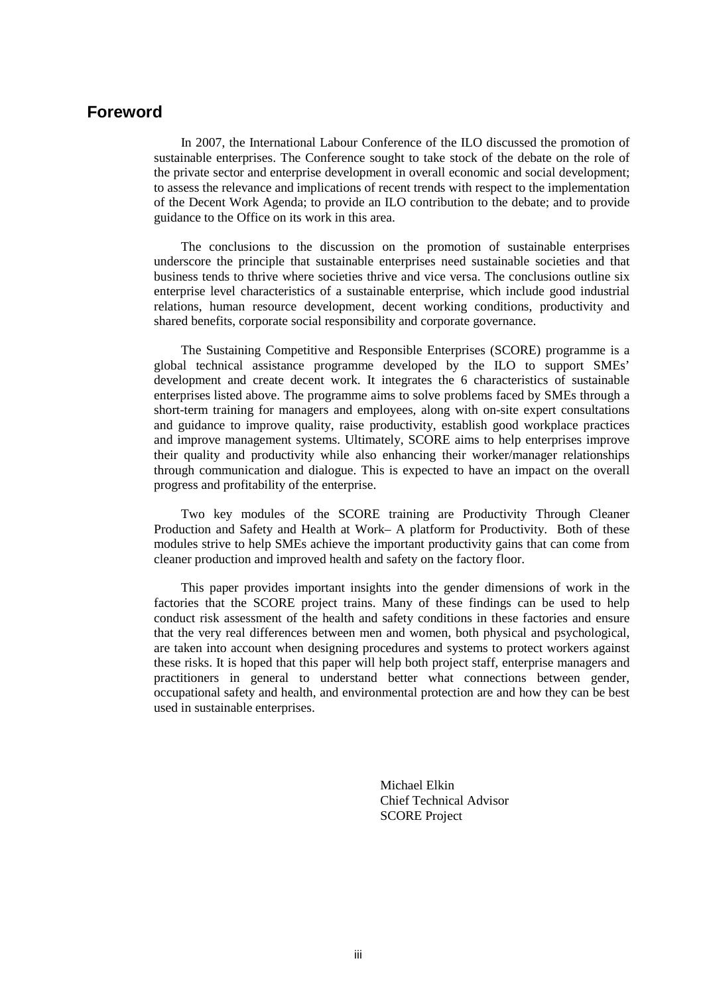# **Foreword**

In 2007, the International Labour Conference of the ILO discussed the promotion of sustainable enterprises. The Conference sought to take stock of the debate on the role of the private sector and enterprise development in overall economic and social development; to assess the relevance and implications of recent trends with respect to the implementation of the Decent Work Agenda; to provide an ILO contribution to the debate; and to provide guidance to the Office on its work in this area.

The conclusions to the discussion on the promotion of sustainable enterprises underscore the principle that sustainable enterprises need sustainable societies and that business tends to thrive where societies thrive and vice versa. The conclusions outline six enterprise level characteristics of a sustainable enterprise, which include good industrial relations, human resource development, decent working conditions, productivity and shared benefits, corporate social responsibility and corporate governance.

The Sustaining Competitive and Responsible Enterprises (SCORE) programme is a global technical assistance programme developed by the ILO to support SMEs' development and create decent work. It integrates the 6 characteristics of sustainable enterprises listed above. The programme aims to solve problems faced by SMEs through a short-term training for managers and employees, along with on-site expert consultations and guidance to improve quality, raise productivity, establish good workplace practices and improve management systems. Ultimately, SCORE aims to help enterprises improve their quality and productivity while also enhancing their worker/manager relationships through communication and dialogue. This is expected to have an impact on the overall progress and profitability of the enterprise.

Two key modules of the SCORE training are Productivity Through Cleaner Production and Safety and Health at Work– A platform for Productivity. Both of these modules strive to help SMEs achieve the important productivity gains that can come from cleaner production and improved health and safety on the factory floor.

This paper provides important insights into the gender dimensions of work in the factories that the SCORE project trains. Many of these findings can be used to help conduct risk assessment of the health and safety conditions in these factories and ensure that the very real differences between men and women, both physical and psychological, are taken into account when designing procedures and systems to protect workers against these risks. It is hoped that this paper will help both project staff, enterprise managers and practitioners in general to understand better what connections between gender, occupational safety and health, and environmental protection are and how they can be best used in sustainable enterprises.

> Michael Elkin Chief Technical Advisor SCORE Project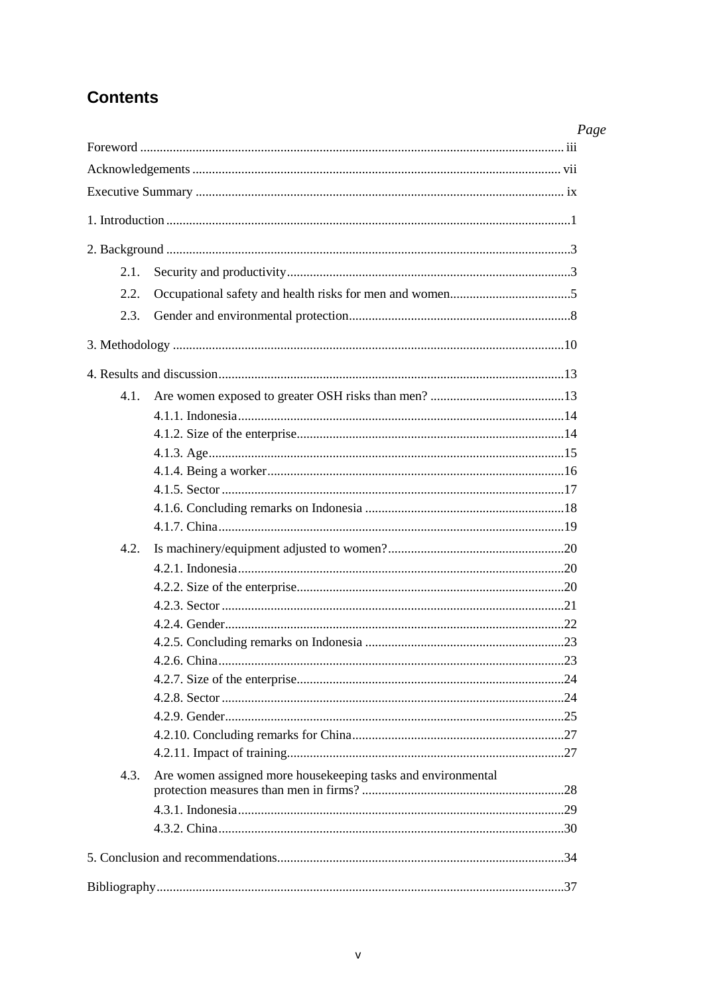# **Contents**

|      |                                                              | Page |
|------|--------------------------------------------------------------|------|
|      |                                                              |      |
|      |                                                              |      |
|      |                                                              |      |
|      |                                                              |      |
|      |                                                              |      |
| 2.1. |                                                              |      |
| 2.2. |                                                              |      |
| 2.3. |                                                              |      |
|      |                                                              |      |
|      |                                                              |      |
| 4.1. |                                                              |      |
|      |                                                              |      |
|      |                                                              |      |
|      |                                                              |      |
|      |                                                              |      |
|      |                                                              |      |
|      |                                                              |      |
|      |                                                              |      |
| 4.2. |                                                              |      |
|      |                                                              |      |
|      |                                                              |      |
|      |                                                              |      |
|      |                                                              |      |
|      |                                                              |      |
|      |                                                              |      |
|      |                                                              |      |
|      |                                                              |      |
|      |                                                              |      |
|      |                                                              |      |
|      |                                                              |      |
| 4.3. | Are women assigned more housekeeping tasks and environmental |      |
|      |                                                              |      |
|      |                                                              |      |
|      |                                                              |      |
|      |                                                              |      |
|      |                                                              |      |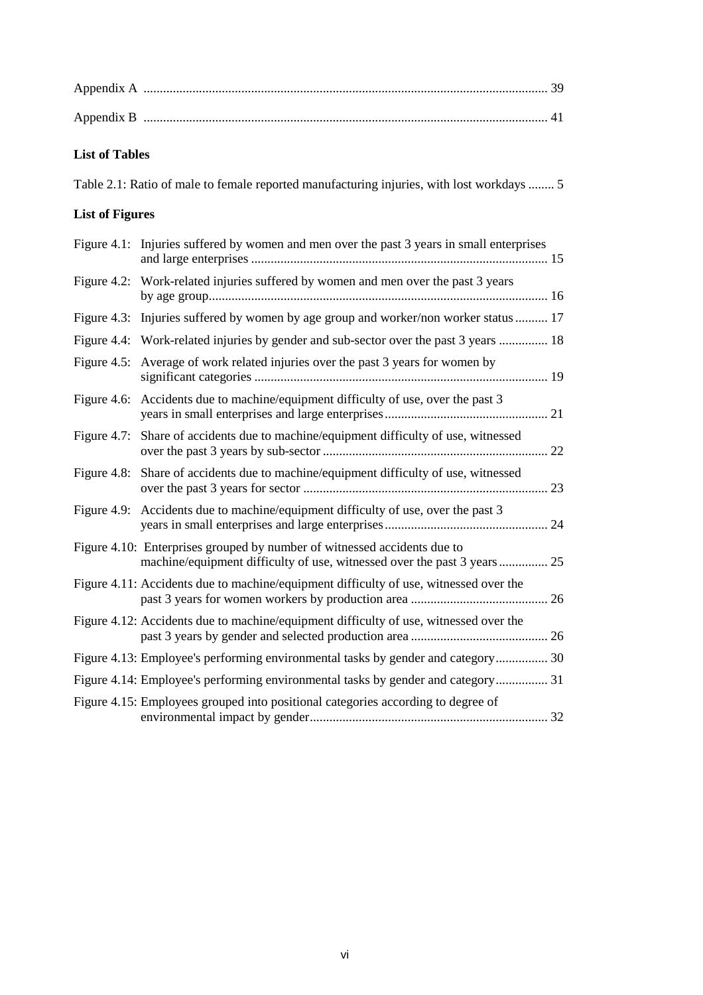| <b>List of Tables</b>  |                                                                                                                                                     |
|------------------------|-----------------------------------------------------------------------------------------------------------------------------------------------------|
|                        | Table 2.1: Ratio of male to female reported manufacturing injuries, with lost workdays  5                                                           |
| <b>List of Figures</b> |                                                                                                                                                     |
|                        | Figure 4.1: Injuries suffered by women and men over the past 3 years in small enterprises                                                           |
|                        | Figure 4.2: Work-related injuries suffered by women and men over the past 3 years                                                                   |
|                        | Figure 4.3: Injuries suffered by women by age group and worker/non worker status  17                                                                |
|                        | Figure 4.4: Work-related injuries by gender and sub-sector over the past 3 years  18                                                                |
|                        | Figure 4.5: Average of work related injuries over the past 3 years for women by                                                                     |
|                        | Figure 4.6: Accidents due to machine/equipment difficulty of use, over the past 3                                                                   |
|                        | Figure 4.7: Share of accidents due to machine/equipment difficulty of use, witnessed                                                                |
|                        | Figure 4.8: Share of accidents due to machine/equipment difficulty of use, witnessed                                                                |
|                        | Figure 4.9: Accidents due to machine/equipment difficulty of use, over the past 3                                                                   |
|                        | Figure 4.10: Enterprises grouped by number of witnessed accidents due to<br>machine/equipment difficulty of use, witnessed over the past 3 years 25 |
|                        | Figure 4.11: Accidents due to machine/equipment difficulty of use, witnessed over the                                                               |
|                        | Figure 4.12: Accidents due to machine/equipment difficulty of use, witnessed over the                                                               |
|                        | Figure 4.13: Employee's performing environmental tasks by gender and category 30                                                                    |
|                        | Figure 4.14: Employee's performing environmental tasks by gender and category 31                                                                    |
|                        | Figure 4.15: Employees grouped into positional categories according to degree of                                                                    |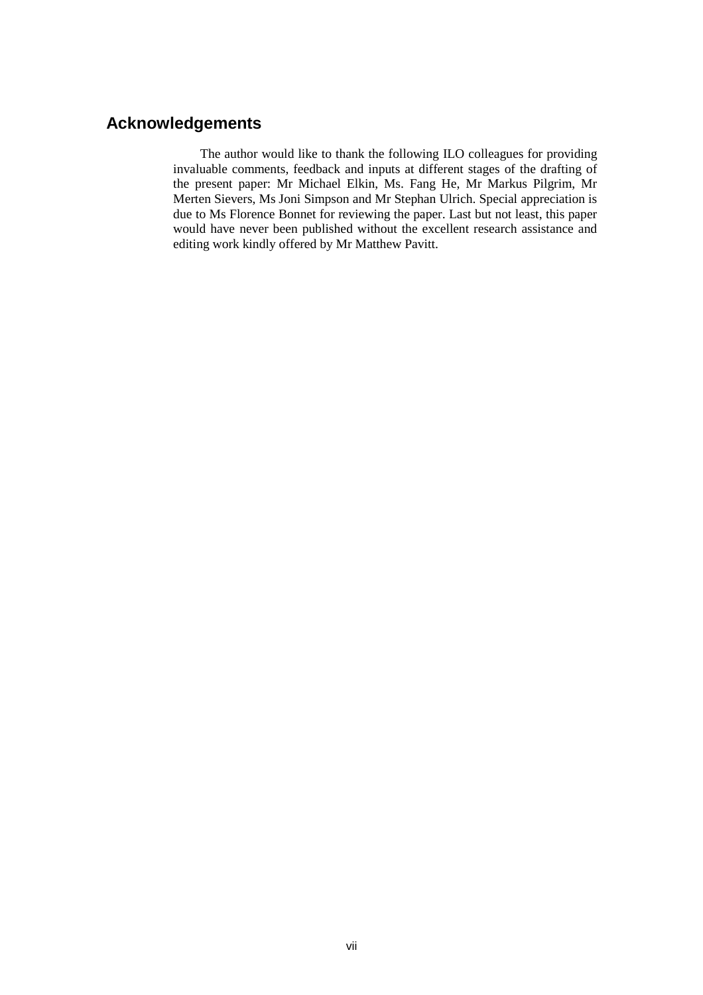# **Acknowledgements**

The author would like to thank the following ILO colleagues for providing invaluable comments, feedback and inputs at different stages of the drafting of the present paper: Mr Michael Elkin, Ms. Fang He, Mr Markus Pilgrim, Mr Merten Sievers, Ms Joni Simpson and Mr Stephan Ulrich. Special appreciation is due to Ms Florence Bonnet for reviewing the paper. Last but not least, this paper would have never been published without the excellent research assistance and editing work kindly offered by Mr Matthew Pavitt.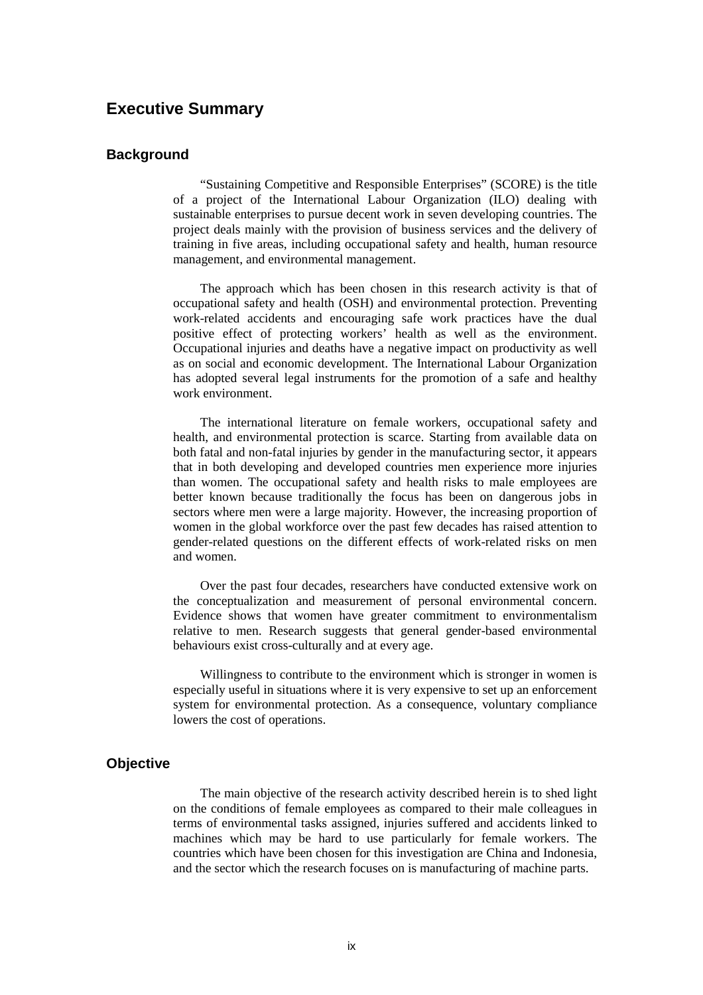# **Executive Summary**

## **Background**

"Sustaining Competitive and Responsible Enterprises" (SCORE) is the title of a project of the International Labour Organization (ILO) dealing with sustainable enterprises to pursue decent work in seven developing countries. The project deals mainly with the provision of business services and the delivery of training in five areas, including occupational safety and health, human resource management, and environmental management.

The approach which has been chosen in this research activity is that of occupational safety and health (OSH) and environmental protection. Preventing work-related accidents and encouraging safe work practices have the dual positive effect of protecting workers' health as well as the environment. Occupational injuries and deaths have a negative impact on productivity as well as on social and economic development. The International Labour Organization has adopted several legal instruments for the promotion of a safe and healthy work environment.

The international literature on female workers, occupational safety and health, and environmental protection is scarce. Starting from available data on both fatal and non-fatal injuries by gender in the manufacturing sector, it appears that in both developing and developed countries men experience more injuries than women. The occupational safety and health risks to male employees are better known because traditionally the focus has been on dangerous jobs in sectors where men were a large majority. However, the increasing proportion of women in the global workforce over the past few decades has raised attention to gender-related questions on the different effects of work-related risks on men and women.

Over the past four decades, researchers have conducted extensive work on the conceptualization and measurement of personal environmental concern. Evidence shows that women have greater commitment to environmentalism relative to men. Research suggests that general gender-based environmental behaviours exist cross-culturally and at every age.

Willingness to contribute to the environment which is stronger in women is especially useful in situations where it is very expensive to set up an enforcement system for environmental protection. As a consequence, voluntary compliance lowers the cost of operations.

#### **Objective**

The main objective of the research activity described herein is to shed light on the conditions of female employees as compared to their male colleagues in terms of environmental tasks assigned, injuries suffered and accidents linked to machines which may be hard to use particularly for female workers. The countries which have been chosen for this investigation are China and Indonesia, and the sector which the research focuses on is manufacturing of machine parts.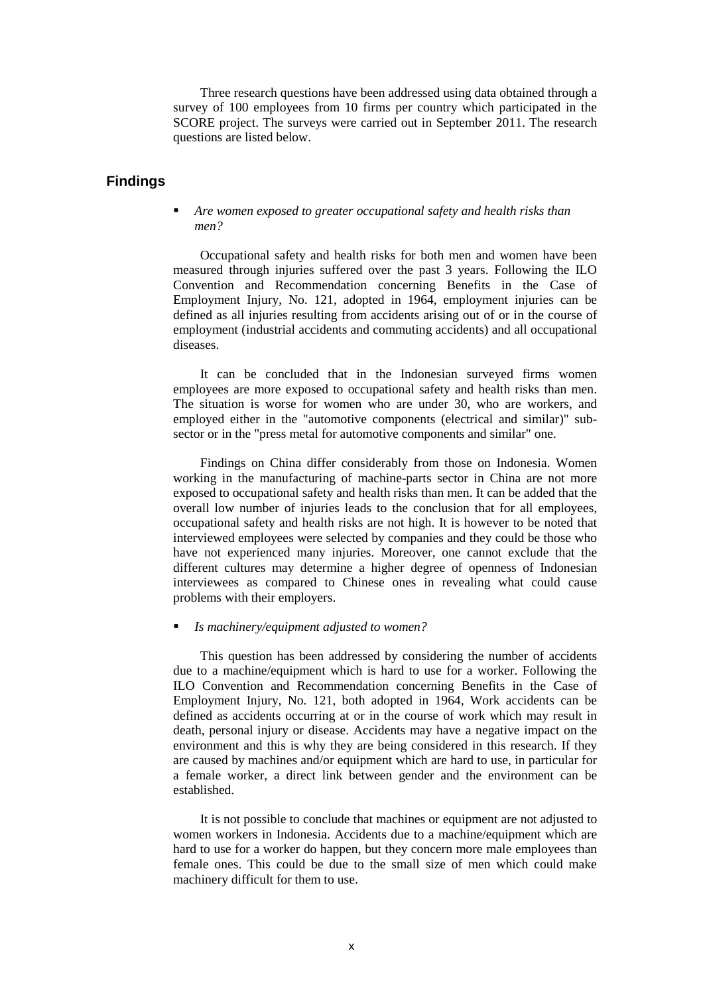Three research questions have been addressed using data obtained through a survey of 100 employees from 10 firms per country which participated in the SCORE project. The surveys were carried out in September 2011. The research questions are listed below.

# **Findings**

 *Are women exposed to greater occupational safety and health risks than men?* 

Occupational safety and health risks for both men and women have been measured through injuries suffered over the past 3 years. Following the ILO Convention and Recommendation concerning Benefits in the Case of Employment Injury, No. 121, adopted in 1964, employment injuries can be defined as all injuries resulting from accidents arising out of or in the course of employment (industrial accidents and commuting accidents) and all occupational diseases.

It can be concluded that in the Indonesian surveyed firms women employees are more exposed to occupational safety and health risks than men. The situation is worse for women who are under 30, who are workers, and employed either in the "automotive components (electrical and similar)" subsector or in the "press metal for automotive components and similar" one.

Findings on China differ considerably from those on Indonesia. Women working in the manufacturing of machine-parts sector in China are not more exposed to occupational safety and health risks than men. It can be added that the overall low number of injuries leads to the conclusion that for all employees, occupational safety and health risks are not high. It is however to be noted that interviewed employees were selected by companies and they could be those who have not experienced many injuries. Moreover, one cannot exclude that the different cultures may determine a higher degree of openness of Indonesian interviewees as compared to Chinese ones in revealing what could cause problems with their employers.

*Is machinery/equipment adjusted to women?* 

This question has been addressed by considering the number of accidents due to a machine/equipment which is hard to use for a worker. Following the ILO Convention and Recommendation concerning Benefits in the Case of Employment Injury, No. 121, both adopted in 1964, Work accidents can be defined as accidents occurring at or in the course of work which may result in death, personal injury or disease. Accidents may have a negative impact on the environment and this is why they are being considered in this research. If they are caused by machines and/or equipment which are hard to use, in particular for a female worker, a direct link between gender and the environment can be established.

It is not possible to conclude that machines or equipment are not adjusted to women workers in Indonesia. Accidents due to a machine/equipment which are hard to use for a worker do happen, but they concern more male employees than female ones. This could be due to the small size of men which could make machinery difficult for them to use.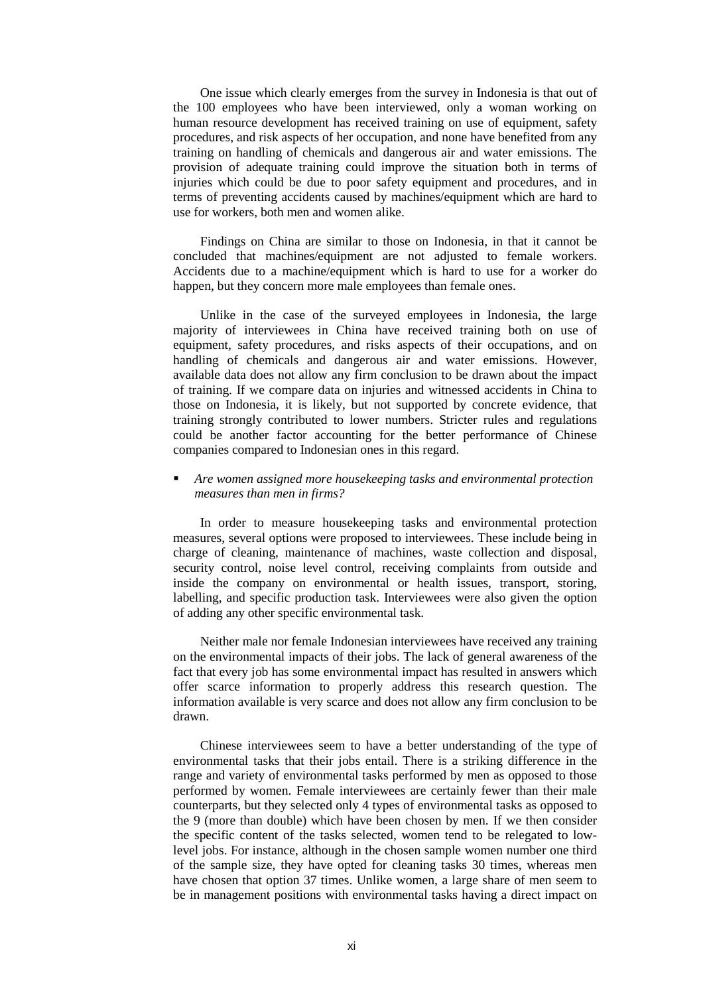One issue which clearly emerges from the survey in Indonesia is that out of the 100 employees who have been interviewed, only a woman working on human resource development has received training on use of equipment, safety procedures, and risk aspects of her occupation, and none have benefited from any training on handling of chemicals and dangerous air and water emissions. The provision of adequate training could improve the situation both in terms of injuries which could be due to poor safety equipment and procedures, and in terms of preventing accidents caused by machines/equipment which are hard to use for workers, both men and women alike.

Findings on China are similar to those on Indonesia, in that it cannot be concluded that machines/equipment are not adjusted to female workers. Accidents due to a machine/equipment which is hard to use for a worker do happen, but they concern more male employees than female ones.

Unlike in the case of the surveyed employees in Indonesia, the large majority of interviewees in China have received training both on use of equipment, safety procedures, and risks aspects of their occupations, and on handling of chemicals and dangerous air and water emissions. However, available data does not allow any firm conclusion to be drawn about the impact of training. If we compare data on injuries and witnessed accidents in China to those on Indonesia, it is likely, but not supported by concrete evidence, that training strongly contributed to lower numbers. Stricter rules and regulations could be another factor accounting for the better performance of Chinese companies compared to Indonesian ones in this regard.

#### *Are women assigned more housekeeping tasks and environmental protection measures than men in firms?*

In order to measure housekeeping tasks and environmental protection measures, several options were proposed to interviewees. These include being in charge of cleaning, maintenance of machines, waste collection and disposal, security control, noise level control, receiving complaints from outside and inside the company on environmental or health issues, transport, storing, labelling, and specific production task. Interviewees were also given the option of adding any other specific environmental task.

Neither male nor female Indonesian interviewees have received any training on the environmental impacts of their jobs. The lack of general awareness of the fact that every job has some environmental impact has resulted in answers which offer scarce information to properly address this research question. The information available is very scarce and does not allow any firm conclusion to be drawn.

Chinese interviewees seem to have a better understanding of the type of environmental tasks that their jobs entail. There is a striking difference in the range and variety of environmental tasks performed by men as opposed to those performed by women. Female interviewees are certainly fewer than their male counterparts, but they selected only 4 types of environmental tasks as opposed to the 9 (more than double) which have been chosen by men. If we then consider the specific content of the tasks selected, women tend to be relegated to lowlevel jobs. For instance, although in the chosen sample women number one third of the sample size, they have opted for cleaning tasks 30 times, whereas men have chosen that option 37 times. Unlike women, a large share of men seem to be in management positions with environmental tasks having a direct impact on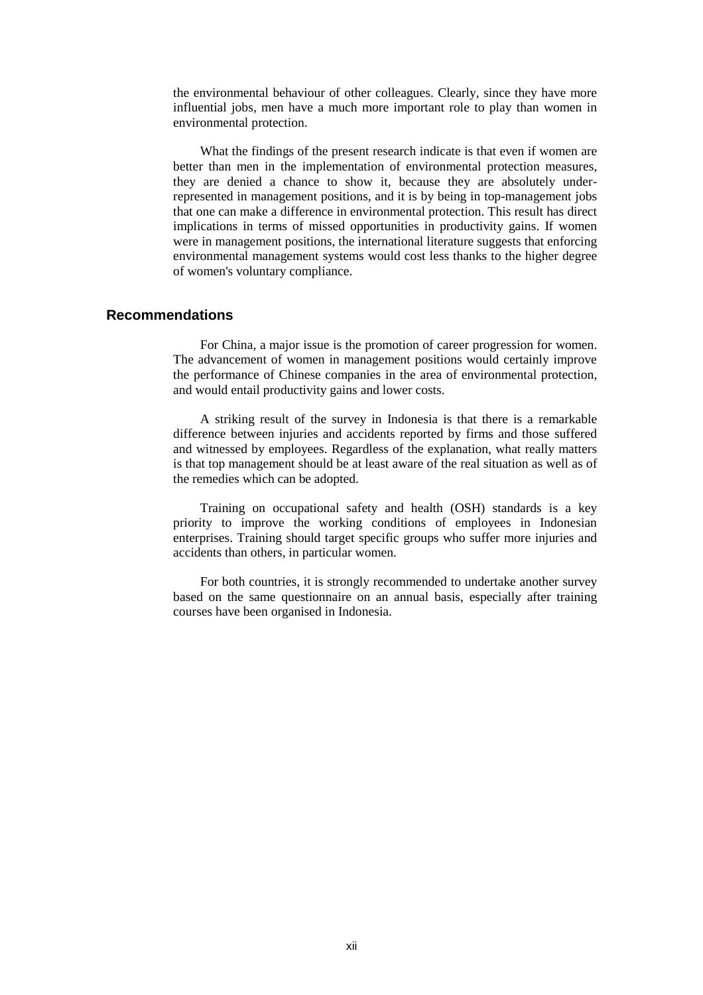the environmental behaviour of other colleagues. Clearly, since they have more influential jobs, men have a much more important role to play than women in environmental protection.

What the findings of the present research indicate is that even if women are better than men in the implementation of environmental protection measures, they are denied a chance to show it, because they are absolutely underrepresented in management positions, and it is by being in top-management jobs that one can make a difference in environmental protection. This result has direct implications in terms of missed opportunities in productivity gains. If women were in management positions, the international literature suggests that enforcing environmental management systems would cost less thanks to the higher degree of women's voluntary compliance.

#### **Recommendations**

For China, a major issue is the promotion of career progression for women. The advancement of women in management positions would certainly improve the performance of Chinese companies in the area of environmental protection, and would entail productivity gains and lower costs.

A striking result of the survey in Indonesia is that there is a remarkable difference between injuries and accidents reported by firms and those suffered and witnessed by employees. Regardless of the explanation, what really matters is that top management should be at least aware of the real situation as well as of the remedies which can be adopted.

Training on occupational safety and health (OSH) standards is a key priority to improve the working conditions of employees in Indonesian enterprises. Training should target specific groups who suffer more injuries and accidents than others, in particular women.

For both countries, it is strongly recommended to undertake another survey based on the same questionnaire on an annual basis, especially after training courses have been organised in Indonesia.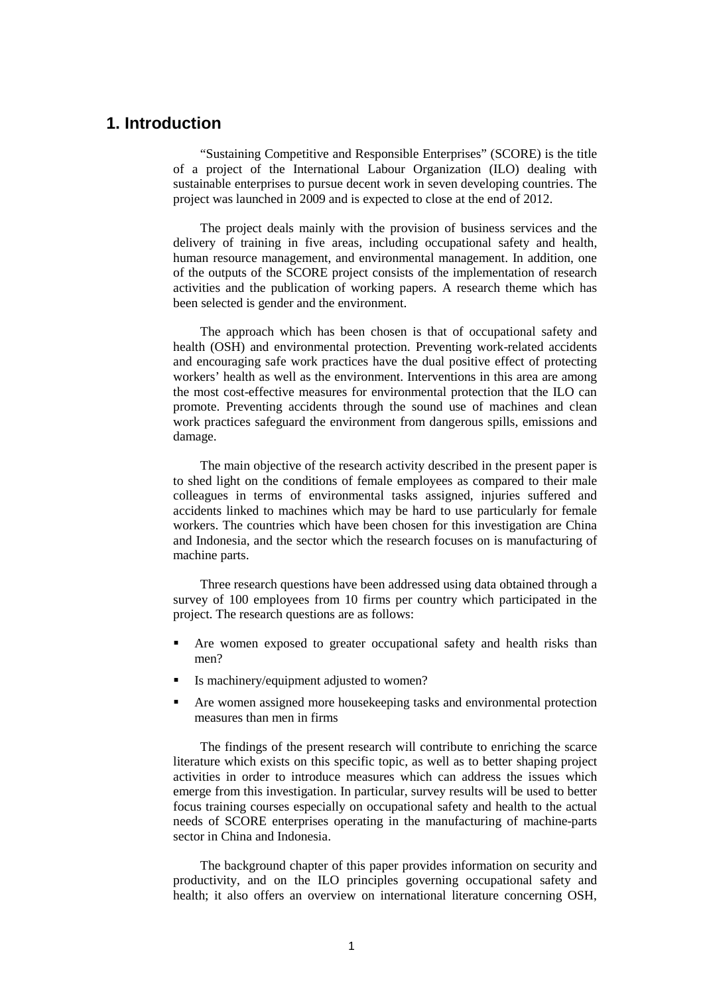# **1. Introduction**

"Sustaining Competitive and Responsible Enterprises" (SCORE) is the title of a project of the International Labour Organization (ILO) dealing with sustainable enterprises to pursue decent work in seven developing countries. The project was launched in 2009 and is expected to close at the end of 2012.

The project deals mainly with the provision of business services and the delivery of training in five areas, including occupational safety and health, human resource management, and environmental management. In addition, one of the outputs of the SCORE project consists of the implementation of research activities and the publication of working papers. A research theme which has been selected is gender and the environment.

The approach which has been chosen is that of occupational safety and health (OSH) and environmental protection. Preventing work-related accidents and encouraging safe work practices have the dual positive effect of protecting workers' health as well as the environment. Interventions in this area are among the most cost-effective measures for environmental protection that the ILO can promote. Preventing accidents through the sound use of machines and clean work practices safeguard the environment from dangerous spills, emissions and damage.

The main objective of the research activity described in the present paper is to shed light on the conditions of female employees as compared to their male colleagues in terms of environmental tasks assigned, injuries suffered and accidents linked to machines which may be hard to use particularly for female workers. The countries which have been chosen for this investigation are China and Indonesia, and the sector which the research focuses on is manufacturing of machine parts.

Three research questions have been addressed using data obtained through a survey of 100 employees from 10 firms per country which participated in the project. The research questions are as follows:

- Are women exposed to greater occupational safety and health risks than men?
- Is machinery/equipment adjusted to women?
- Are women assigned more housekeeping tasks and environmental protection measures than men in firms

The findings of the present research will contribute to enriching the scarce literature which exists on this specific topic, as well as to better shaping project activities in order to introduce measures which can address the issues which emerge from this investigation. In particular, survey results will be used to better focus training courses especially on occupational safety and health to the actual needs of SCORE enterprises operating in the manufacturing of machine-parts sector in China and Indonesia.

The background chapter of this paper provides information on security and productivity, and on the ILO principles governing occupational safety and health; it also offers an overview on international literature concerning OSH,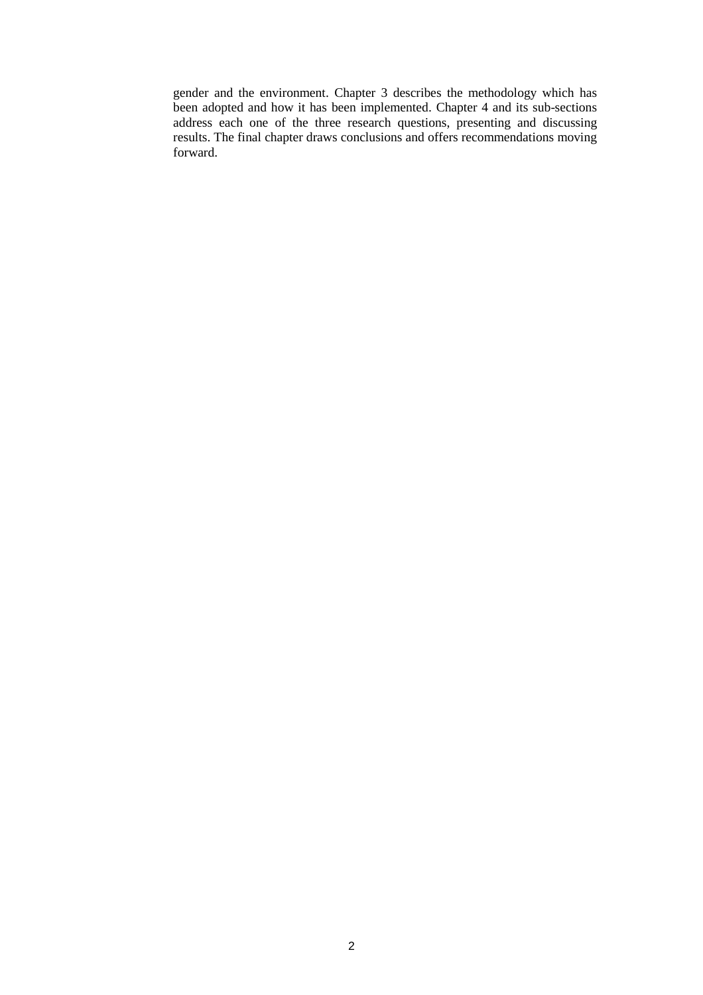gender and the environment. Chapter 3 describes the methodology which has been adopted and how it has been implemented. Chapter 4 and its sub-sections address each one of the three research questions, presenting and discussing results. The final chapter draws conclusions and offers recommendations moving forward.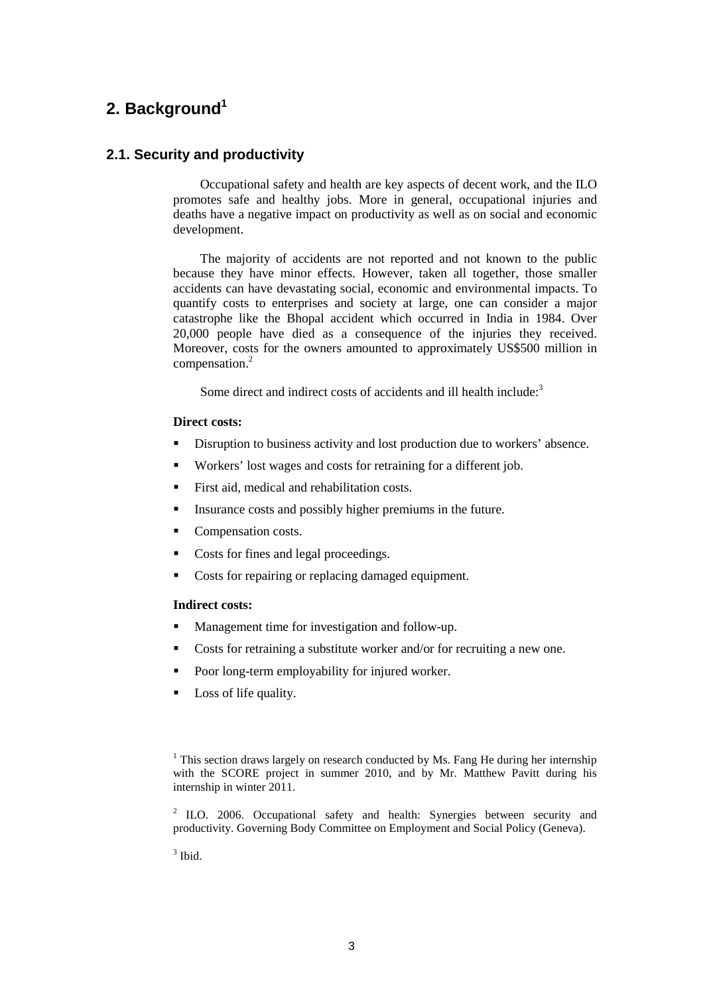# **2. Background<sup>1</sup>**

# **2.1. Security and productivity**

Occupational safety and health are key aspects of decent work, and the ILO promotes safe and healthy jobs. More in general, occupational injuries and deaths have a negative impact on productivity as well as on social and economic development.

The majority of accidents are not reported and not known to the public because they have minor effects. However, taken all together, those smaller accidents can have devastating social, economic and environmental impacts. To quantify costs to enterprises and society at large, one can consider a major catastrophe like the Bhopal accident which occurred in India in 1984. Over 20,000 people have died as a consequence of the injuries they received. Moreover, costs for the owners amounted to approximately US\$500 million in compensation.<sup>2</sup>

Some direct and indirect costs of accidents and ill health include:<sup>3</sup>

#### **Direct costs:**

- Disruption to business activity and lost production due to workers' absence.
- Workers' lost wages and costs for retraining for a different job.
- First aid, medical and rehabilitation costs.
- Insurance costs and possibly higher premiums in the future.
- Compensation costs.
- Costs for fines and legal proceedings.
- Costs for repairing or replacing damaged equipment.

#### **Indirect costs:**

- **Management time for investigation and follow-up.**
- Costs for retraining a substitute worker and/or for recruiting a new one.
- Poor long-term employability for injured worker.
- Loss of life quality.

 $1$  This section draws largely on research conducted by Ms. Fang He during her internship with the SCORE project in summer 2010, and by Mr. Matthew Pavitt during his internship in winter 2011.

<sup>2</sup> ILO. 2006. Occupational safety and health: Synergies between security and productivity. Governing Body Committee on Employment and Social Policy (Geneva).

 $3$  Ibid.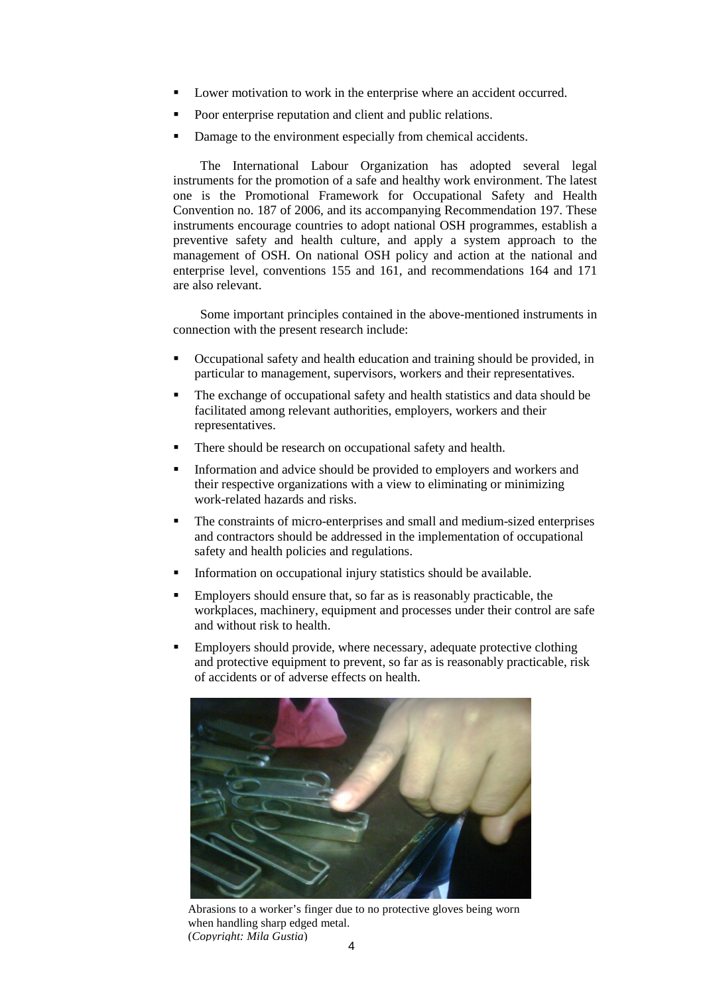- Lower motivation to work in the enterprise where an accident occurred.
- Poor enterprise reputation and client and public relations.
- Damage to the environment especially from chemical accidents.

The International Labour Organization has adopted several legal instruments for the promotion of a safe and healthy work environment. The latest one is the Promotional Framework for Occupational Safety and Health Convention no. 187 of 2006, and its accompanying Recommendation 197. These instruments encourage countries to adopt national OSH programmes, establish a preventive safety and health culture, and apply a system approach to the management of OSH. On national OSH policy and action at the national and enterprise level, conventions 155 and 161, and recommendations 164 and 171 are also relevant.

Some important principles contained in the above-mentioned instruments in connection with the present research include:

- Occupational safety and health education and training should be provided, in particular to management, supervisors, workers and their representatives.
- The exchange of occupational safety and health statistics and data should be facilitated among relevant authorities, employers, workers and their representatives.
- There should be research on occupational safety and health.
- Information and advice should be provided to employers and workers and their respective organizations with a view to eliminating or minimizing work-related hazards and risks.
- The constraints of micro-enterprises and small and medium-sized enterprises and contractors should be addressed in the implementation of occupational safety and health policies and regulations.
- Information on occupational injury statistics should be available.
- Employers should ensure that, so far as is reasonably practicable, the workplaces, machinery, equipment and processes under their control are safe and without risk to health.
- **Employers should provide, where necessary, adequate protective clothing** and protective equipment to prevent, so far as is reasonably practicable, risk of accidents or of adverse effects on health.



Abrasions to a worker's finger due to no protective gloves being worn when handling sharp edged metal. (*Copyright: Mila Gustia*)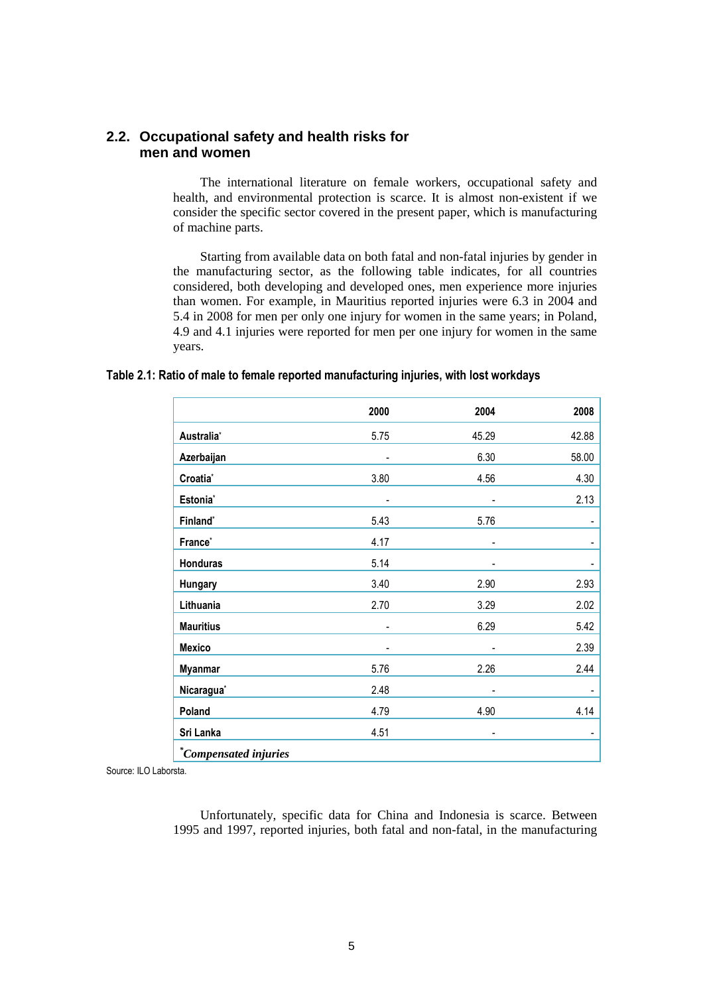# **2.2. Occupational safety and health risks for men and women**

The international literature on female workers, occupational safety and health, and environmental protection is scarce. It is almost non-existent if we consider the specific sector covered in the present paper, which is manufacturing of machine parts.

Starting from available data on both fatal and non-fatal injuries by gender in the manufacturing sector, as the following table indicates, for all countries considered, both developing and developed ones, men experience more injuries than women. For example, in Mauritius reported injuries were 6.3 in 2004 and 5.4 in 2008 for men per only one injury for women in the same years; in Poland, 4.9 and 4.1 injuries were reported for men per one injury for women in the same years.

#### **Table 2.1: Ratio of male to female reported manufacturing injuries, with lost workdays**

|                              | 2000 | 2004                     | 2008                     |
|------------------------------|------|--------------------------|--------------------------|
| Australia*                   | 5.75 | 45.29                    | 42.88                    |
| Azerbaijan                   |      | 6.30                     | 58.00                    |
| Croatia*                     | 3.80 | 4.56                     | 4.30                     |
| Estonia <sup>*</sup>         |      |                          | 2.13                     |
| Finland*                     | 5.43 | 5.76                     |                          |
| France*                      | 4.17 |                          | -                        |
| <b>Honduras</b>              | 5.14 |                          | $\overline{\phantom{a}}$ |
| Hungary                      | 3.40 | 2.90                     | 2.93                     |
| Lithuania                    | 2.70 | 3.29                     | 2.02                     |
| <b>Mauritius</b>             |      | 6.29                     | 5.42                     |
| <b>Mexico</b>                |      |                          | 2.39                     |
| <b>Myanmar</b>               | 5.76 | 2.26                     | 2.44                     |
| Nicaragua <sup>*</sup>       | 2.48 | $\overline{\phantom{a}}$ | -                        |
| Poland                       | 4.79 | 4.90                     | 4.14                     |
| Sri Lanka                    | 4.51 |                          | $\overline{\phantom{a}}$ |
| <i>*Compensated injuries</i> |      |                          |                          |

Source: ILO Laborsta.

Unfortunately, specific data for China and Indonesia is scarce. Between 1995 and 1997, reported injuries, both fatal and non-fatal, in the manufacturing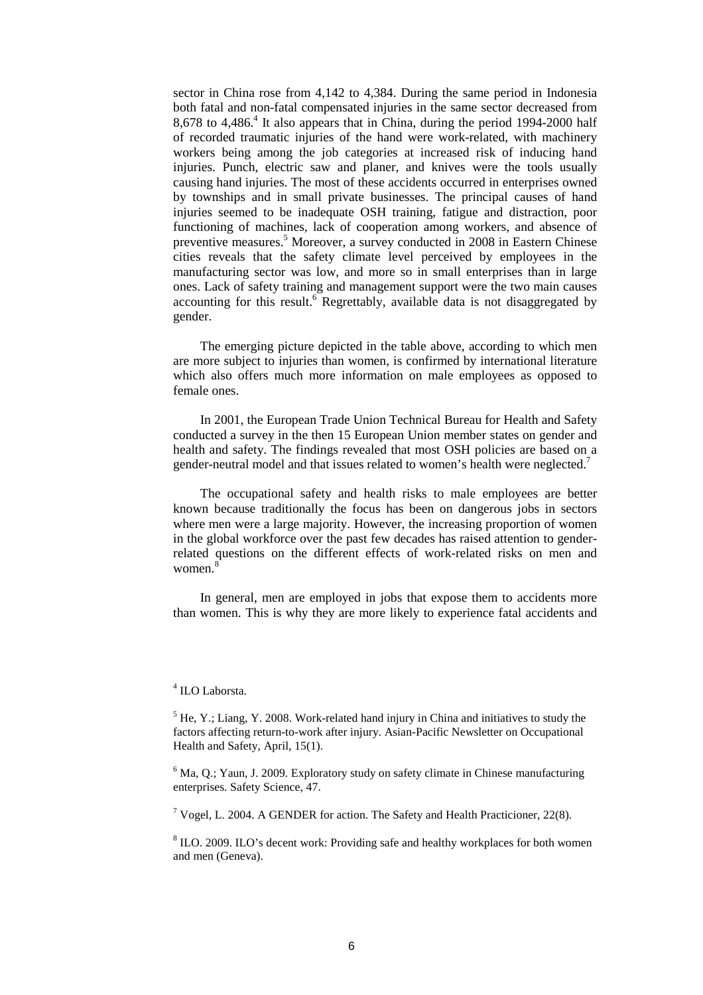sector in China rose from 4,142 to 4,384. During the same period in Indonesia both fatal and non-fatal compensated injuries in the same sector decreased from 8,678 to 4,486.<sup>4</sup> It also appears that in China, during the period 1994-2000 half of recorded traumatic injuries of the hand were work-related, with machinery workers being among the job categories at increased risk of inducing hand injuries. Punch, electric saw and planer, and knives were the tools usually causing hand injuries. The most of these accidents occurred in enterprises owned by townships and in small private businesses. The principal causes of hand injuries seemed to be inadequate OSH training, fatigue and distraction, poor functioning of machines, lack of cooperation among workers, and absence of preventive measures.<sup>5</sup> Moreover, a survey conducted in 2008 in Eastern Chinese cities reveals that the safety climate level perceived by employees in the manufacturing sector was low, and more so in small enterprises than in large ones. Lack of safety training and management support were the two main causes accounting for this result.<sup>6</sup> Regrettably, available data is not disaggregated by gender.

The emerging picture depicted in the table above, according to which men are more subject to injuries than women, is confirmed by international literature which also offers much more information on male employees as opposed to female ones.

In 2001, the European Trade Union Technical Bureau for Health and Safety conducted a survey in the then 15 European Union member states on gender and health and safety. The findings revealed that most OSH policies are based on a gender-neutral model and that issues related to women's health were neglected.<sup>7</sup>

The occupational safety and health risks to male employees are better known because traditionally the focus has been on dangerous jobs in sectors where men were a large majority. However, the increasing proportion of women in the global workforce over the past few decades has raised attention to genderrelated questions on the different effects of work-related risks on men and women.<sup>8</sup>

In general, men are employed in jobs that expose them to accidents more than women. This is why they are more likely to experience fatal accidents and

#### 4 ILO Laborsta.

 $<sup>5</sup>$  He, Y.; Liang, Y. 2008. Work-related hand injury in China and initiatives to study the</sup> factors affecting return-to-work after injury. Asian-Pacific Newsletter on Occupational Health and Safety, April, 15(1).

 $6$  Ma, Q.; Yaun, J. 2009. Exploratory study on safety climate in Chinese manufacturing enterprises. Safety Science, 47.

<sup>7</sup> Vogel, L. 2004. A GENDER for action. The Safety and Health Practicioner, 22(8).

 $8$  ILO. 2009. ILO's decent work: Providing safe and healthy workplaces for both women and men (Geneva).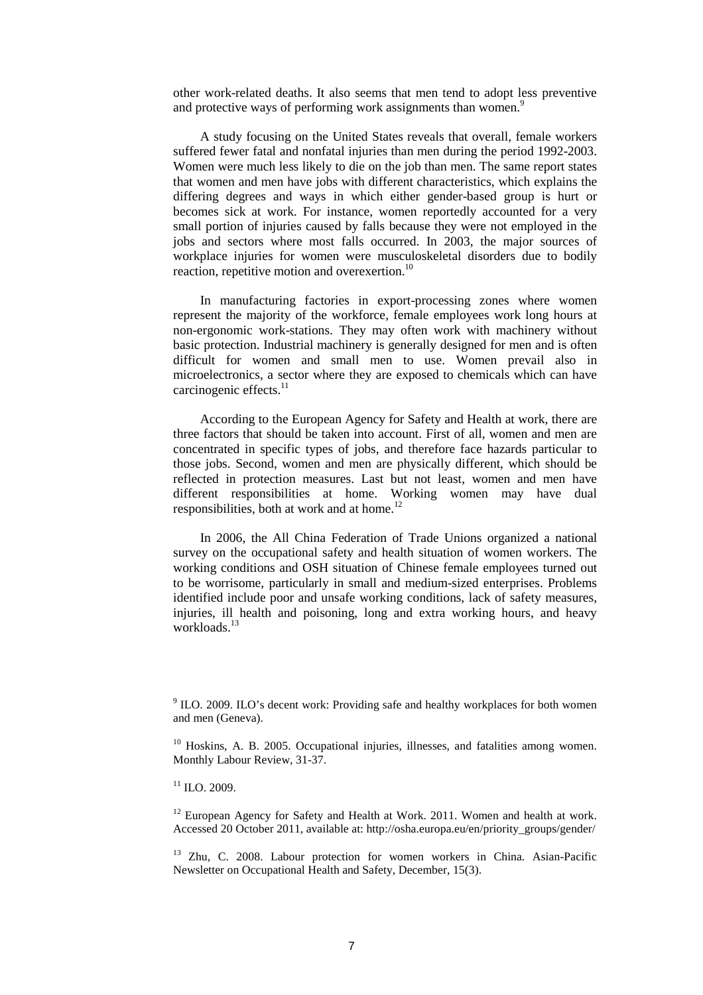other work-related deaths. It also seems that men tend to adopt less preventive and protective ways of performing work assignments than women.<sup>9</sup>

A study focusing on the United States reveals that overall, female workers suffered fewer fatal and nonfatal injuries than men during the period 1992-2003. Women were much less likely to die on the job than men. The same report states that women and men have jobs with different characteristics, which explains the differing degrees and ways in which either gender-based group is hurt or becomes sick at work. For instance, women reportedly accounted for a very small portion of injuries caused by falls because they were not employed in the jobs and sectors where most falls occurred. In 2003, the major sources of workplace injuries for women were musculoskeletal disorders due to bodily reaction, repetitive motion and overexertion.<sup>10</sup>

In manufacturing factories in export-processing zones where women represent the majority of the workforce, female employees work long hours at non-ergonomic work-stations. They may often work with machinery without basic protection. Industrial machinery is generally designed for men and is often difficult for women and small men to use. Women prevail also in microelectronics, a sector where they are exposed to chemicals which can have carcinogenic effects.<sup>11</sup>

According to the European Agency for Safety and Health at work, there are three factors that should be taken into account. First of all, women and men are concentrated in specific types of jobs, and therefore face hazards particular to those jobs. Second, women and men are physically different, which should be reflected in protection measures. Last but not least, women and men have different responsibilities at home. Working women may have dual responsibilities, both at work and at home.<sup>12</sup>

In 2006, the All China Federation of Trade Unions organized a national survey on the occupational safety and health situation of women workers. The working conditions and OSH situation of Chinese female employees turned out to be worrisome, particularly in small and medium-sized enterprises. Problems identified include poor and unsafe working conditions, lack of safety measures, injuries, ill health and poisoning, long and extra working hours, and heavy workloads.<sup>13</sup>

<sup>9</sup> ILO. 2009. ILO's decent work: Providing safe and healthy workplaces for both women and men (Geneva).

<sup>10</sup> Hoskins, A. B. 2005. Occupational injuries, illnesses, and fatalities among women. Monthly Labour Review, 31-37.

 $12$  European Agency for Safety and Health at Work. 2011. Women and health at work. Accessed 20 October 2011, available at: http://osha.europa.eu/en/priority\_groups/gender/

<sup>13</sup> Zhu. C. 2008. Labour protection for women workers in China. Asian-Pacific Newsletter on Occupational Health and Safety, December, 15(3).

 $^{11}$  ILO. 2009.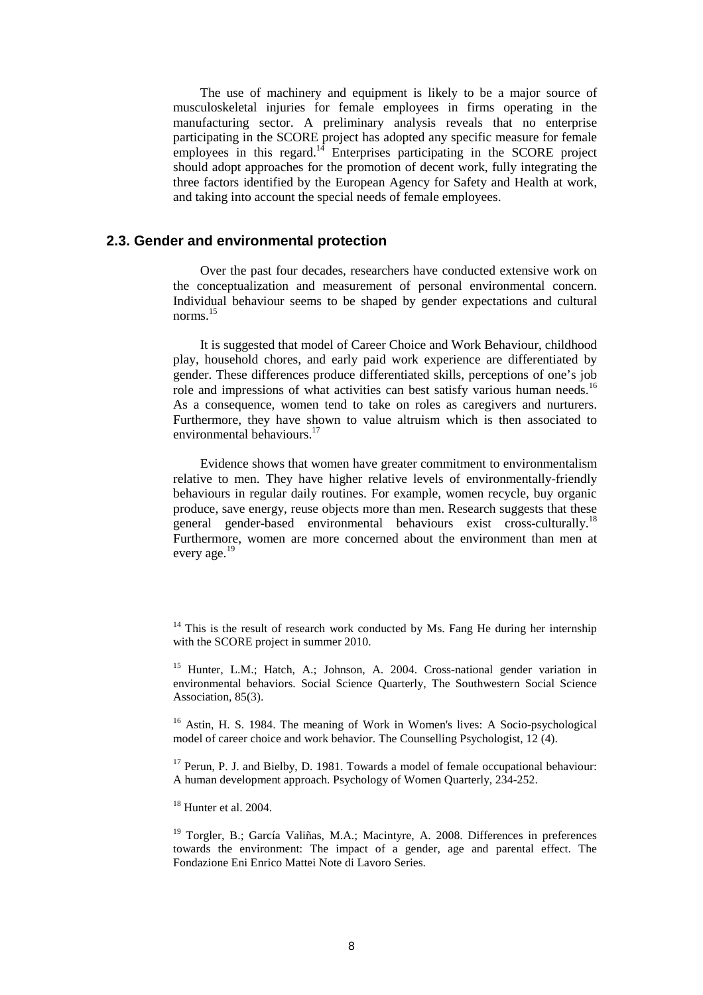The use of machinery and equipment is likely to be a major source of musculoskeletal injuries for female employees in firms operating in the manufacturing sector. A preliminary analysis reveals that no enterprise participating in the SCORE project has adopted any specific measure for female employees in this regard.<sup>14</sup> Enterprises participating in the SCORE project should adopt approaches for the promotion of decent work, fully integrating the three factors identified by the European Agency for Safety and Health at work, and taking into account the special needs of female employees.

# **2.3. Gender and environmental protection**

Over the past four decades, researchers have conducted extensive work on the conceptualization and measurement of personal environmental concern. Individual behaviour seems to be shaped by gender expectations and cultural norms.<sup>15</sup>

It is suggested that model of Career Choice and Work Behaviour, childhood play, household chores, and early paid work experience are differentiated by gender. These differences produce differentiated skills, perceptions of one's job role and impressions of what activities can best satisfy various human needs.<sup>16</sup> As a consequence, women tend to take on roles as caregivers and nurturers. Furthermore, they have shown to value altruism which is then associated to environmental behaviours.<sup>17</sup>

Evidence shows that women have greater commitment to environmentalism relative to men. They have higher relative levels of environmentally-friendly behaviours in regular daily routines. For example, women recycle, buy organic produce, save energy, reuse objects more than men. Research suggests that these general gender-based environmental behaviours exist cross-culturally.<sup>18</sup> Furthermore, women are more concerned about the environment than men at every age.<sup>19</sup>

 $14$  This is the result of research work conducted by Ms. Fang He during her internship with the SCORE project in summer 2010.

<sup>&</sup>lt;sup>15</sup> Hunter, L.M.; Hatch, A.; Johnson, A. 2004. Cross-national gender variation in environmental behaviors. Social Science Quarterly, The Southwestern Social Science Association, 85(3).

<sup>&</sup>lt;sup>16</sup> Astin, H. S. 1984. The meaning of Work in Women's lives: A Socio-psychological model of career choice and work behavior. The Counselling Psychologist, 12 (4).

 $17$  Perun, P. J. and Bielby, D. 1981. Towards a model of female occupational behaviour: A human development approach. Psychology of Women Quarterly, 234-252.

 $18$  Hunter et al. 2004.

<sup>&</sup>lt;sup>19</sup> Torgler, B.; García Valiñas, M.A.; Macintyre, A. 2008. Differences in preferences towards the environment: The impact of a gender, age and parental effect. The Fondazione Eni Enrico Mattei Note di Lavoro Series.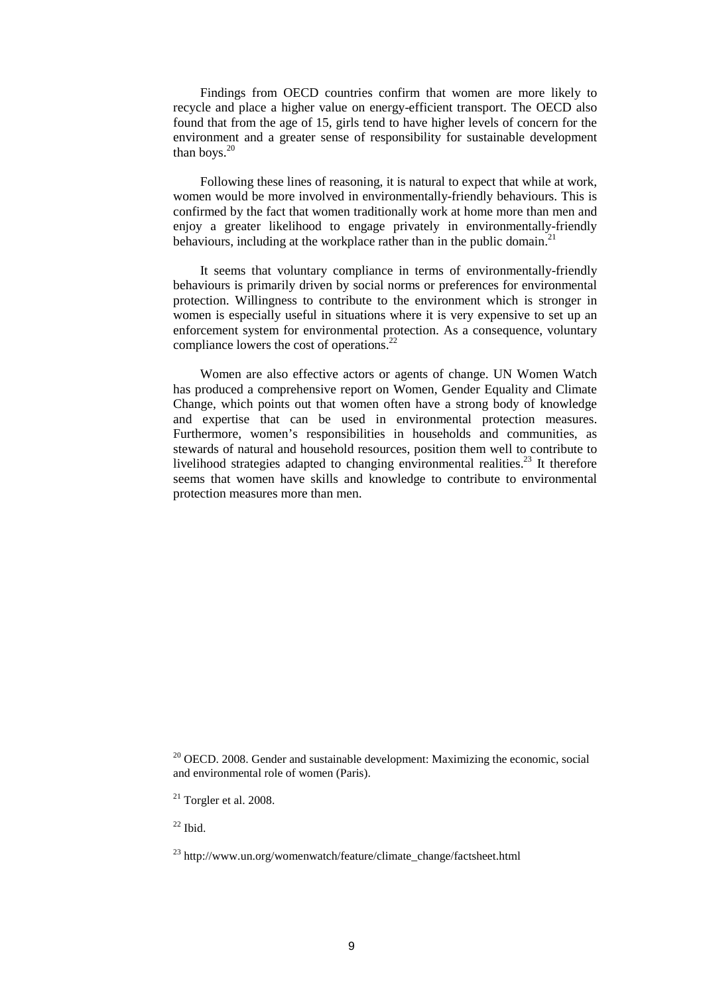Findings from OECD countries confirm that women are more likely to recycle and place a higher value on energy-efficient transport. The OECD also found that from the age of 15, girls tend to have higher levels of concern for the environment and a greater sense of responsibility for sustainable development than boys. $20$ 

Following these lines of reasoning, it is natural to expect that while at work, women would be more involved in environmentally-friendly behaviours. This is confirmed by the fact that women traditionally work at home more than men and enjoy a greater likelihood to engage privately in environmentally-friendly behaviours, including at the workplace rather than in the public domain.<sup>2</sup>

It seems that voluntary compliance in terms of environmentally-friendly behaviours is primarily driven by social norms or preferences for environmental protection. Willingness to contribute to the environment which is stronger in women is especially useful in situations where it is very expensive to set up an enforcement system for environmental protection. As a consequence, voluntary compliance lowers the cost of operations. $2^2$ 

Women are also effective actors or agents of change. UN Women Watch has produced a comprehensive report on Women, Gender Equality and Climate Change, which points out that women often have a strong body of knowledge and expertise that can be used in environmental protection measures. Furthermore, women's responsibilities in households and communities, as stewards of natural and household resources, position them well to contribute to livelihood strategies adapted to changing environmental realities.<sup>23</sup> It therefore seems that women have skills and knowledge to contribute to environmental protection measures more than men.

 $20$  OECD, 2008. Gender and sustainable development: Maximizing the economic, social and environmental role of women (Paris).

 $^{22}$  Ibid.

 $21$  Torgler et al. 2008.

<sup>23</sup> http://www.un.org/womenwatch/feature/climate\_change/factsheet.html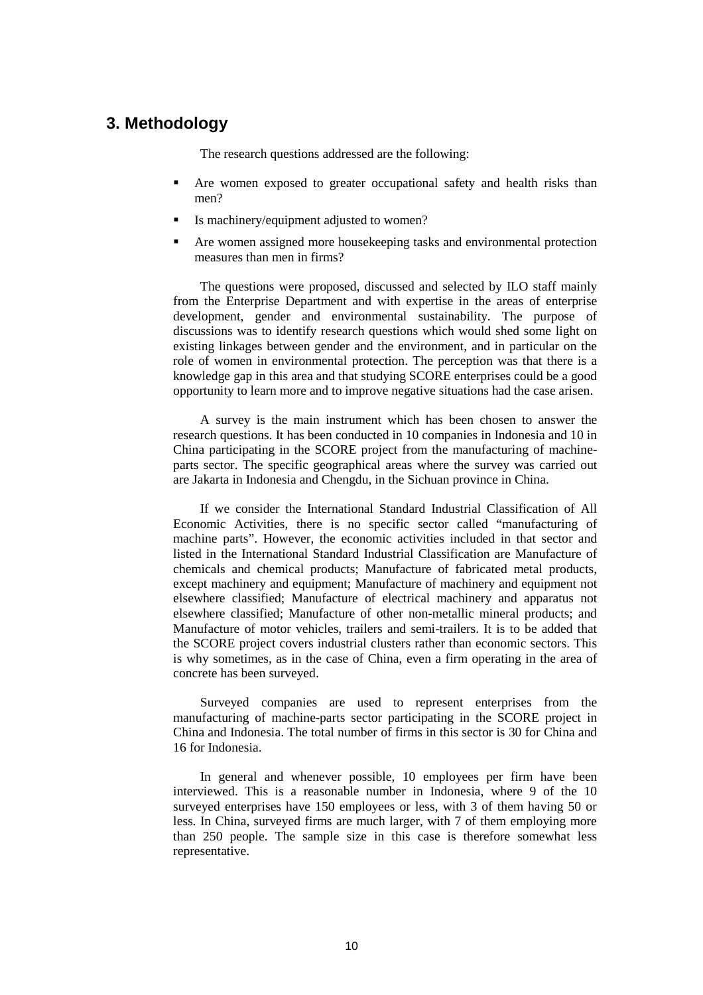# **3. Methodology**

The research questions addressed are the following:

- Are women exposed to greater occupational safety and health risks than men?
- Is machinery/equipment adjusted to women?
- Are women assigned more housekeeping tasks and environmental protection measures than men in firms?

The questions were proposed, discussed and selected by ILO staff mainly from the Enterprise Department and with expertise in the areas of enterprise development, gender and environmental sustainability. The purpose of discussions was to identify research questions which would shed some light on existing linkages between gender and the environment, and in particular on the role of women in environmental protection. The perception was that there is a knowledge gap in this area and that studying SCORE enterprises could be a good opportunity to learn more and to improve negative situations had the case arisen.

A survey is the main instrument which has been chosen to answer the research questions. It has been conducted in 10 companies in Indonesia and 10 in China participating in the SCORE project from the manufacturing of machineparts sector. The specific geographical areas where the survey was carried out are Jakarta in Indonesia and Chengdu, in the Sichuan province in China.

If we consider the International Standard Industrial Classification of All Economic Activities, there is no specific sector called "manufacturing of machine parts". However, the economic activities included in that sector and listed in the International Standard Industrial Classification are Manufacture of chemicals and chemical products; Manufacture of fabricated metal products, except machinery and equipment; Manufacture of machinery and equipment not elsewhere classified; Manufacture of electrical machinery and apparatus not elsewhere classified; Manufacture of other non-metallic mineral products; and Manufacture of motor vehicles, trailers and semi-trailers. It is to be added that the SCORE project covers industrial clusters rather than economic sectors. This is why sometimes, as in the case of China, even a firm operating in the area of concrete has been surveyed.

Surveyed companies are used to represent enterprises from the manufacturing of machine-parts sector participating in the SCORE project in China and Indonesia. The total number of firms in this sector is 30 for China and 16 for Indonesia.

In general and whenever possible, 10 employees per firm have been interviewed. This is a reasonable number in Indonesia, where 9 of the 10 surveyed enterprises have 150 employees or less, with 3 of them having 50 or less. In China, surveyed firms are much larger, with 7 of them employing more than 250 people. The sample size in this case is therefore somewhat less representative.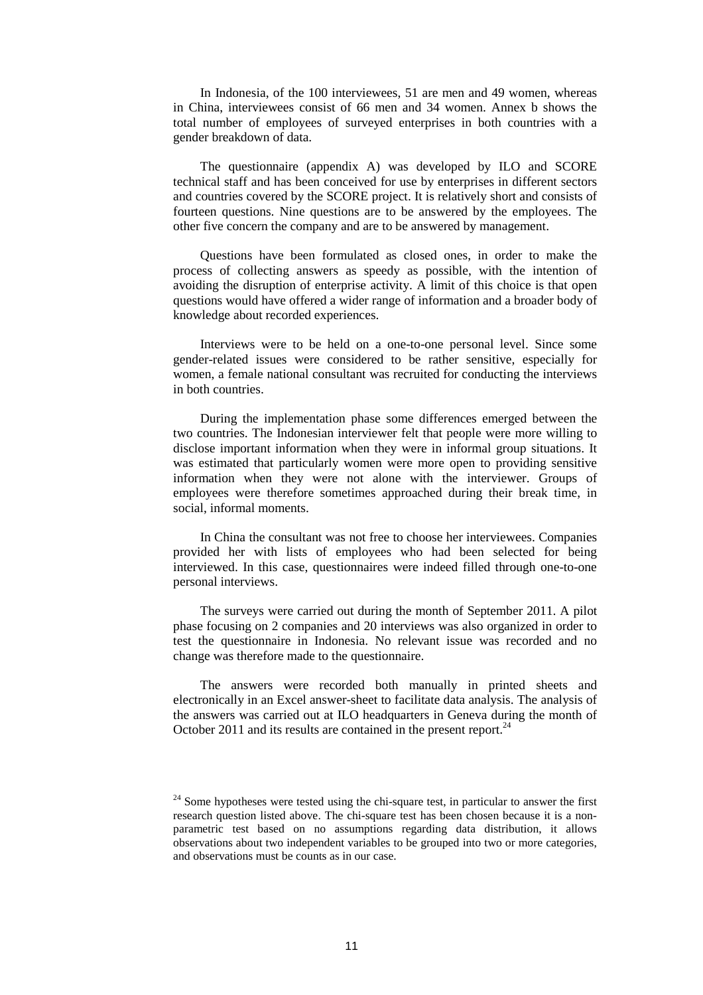In Indonesia, of the 100 interviewees, 51 are men and 49 women, whereas in China, interviewees consist of 66 men and 34 women. Annex b shows the total number of employees of surveyed enterprises in both countries with a gender breakdown of data.

The questionnaire (appendix A) was developed by ILO and SCORE technical staff and has been conceived for use by enterprises in different sectors and countries covered by the SCORE project. It is relatively short and consists of fourteen questions. Nine questions are to be answered by the employees. The other five concern the company and are to be answered by management.

Questions have been formulated as closed ones, in order to make the process of collecting answers as speedy as possible, with the intention of avoiding the disruption of enterprise activity. A limit of this choice is that open questions would have offered a wider range of information and a broader body of knowledge about recorded experiences.

Interviews were to be held on a one-to-one personal level. Since some gender-related issues were considered to be rather sensitive, especially for women, a female national consultant was recruited for conducting the interviews in both countries.

During the implementation phase some differences emerged between the two countries. The Indonesian interviewer felt that people were more willing to disclose important information when they were in informal group situations. It was estimated that particularly women were more open to providing sensitive information when they were not alone with the interviewer. Groups of employees were therefore sometimes approached during their break time, in social, informal moments.

In China the consultant was not free to choose her interviewees. Companies provided her with lists of employees who had been selected for being interviewed. In this case, questionnaires were indeed filled through one-to-one personal interviews.

The surveys were carried out during the month of September 2011. A pilot phase focusing on 2 companies and 20 interviews was also organized in order to test the questionnaire in Indonesia. No relevant issue was recorded and no change was therefore made to the questionnaire.

The answers were recorded both manually in printed sheets and electronically in an Excel answer-sheet to facilitate data analysis. The analysis of the answers was carried out at ILO headquarters in Geneva during the month of October 2011 and its results are contained in the present report.<sup>24</sup>

 $24$  Some hypotheses were tested using the chi-square test, in particular to answer the first research question listed above. The chi-square test has been chosen because it is a nonparametric test based on no assumptions regarding data distribution, it allows observations about two independent variables to be grouped into two or more categories, and observations must be counts as in our case.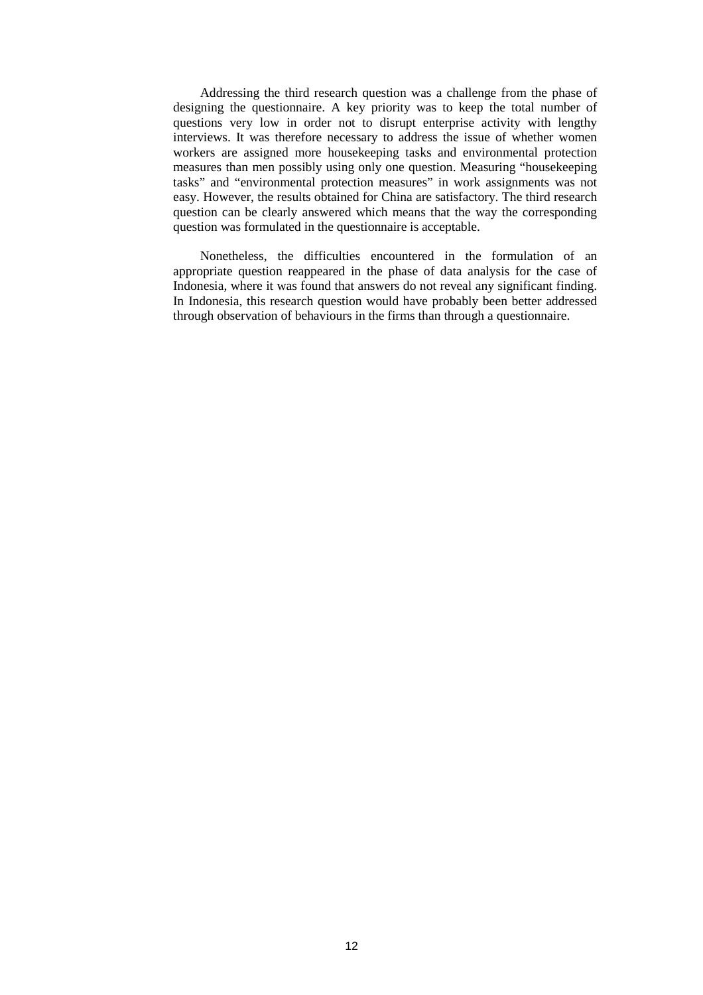Addressing the third research question was a challenge from the phase of designing the questionnaire. A key priority was to keep the total number of questions very low in order not to disrupt enterprise activity with lengthy interviews. It was therefore necessary to address the issue of whether women workers are assigned more housekeeping tasks and environmental protection measures than men possibly using only one question. Measuring "housekeeping tasks" and "environmental protection measures" in work assignments was not easy. However, the results obtained for China are satisfactory. The third research question can be clearly answered which means that the way the corresponding question was formulated in the questionnaire is acceptable.

Nonetheless, the difficulties encountered in the formulation of an appropriate question reappeared in the phase of data analysis for the case of Indonesia, where it was found that answers do not reveal any significant finding. In Indonesia, this research question would have probably been better addressed through observation of behaviours in the firms than through a questionnaire.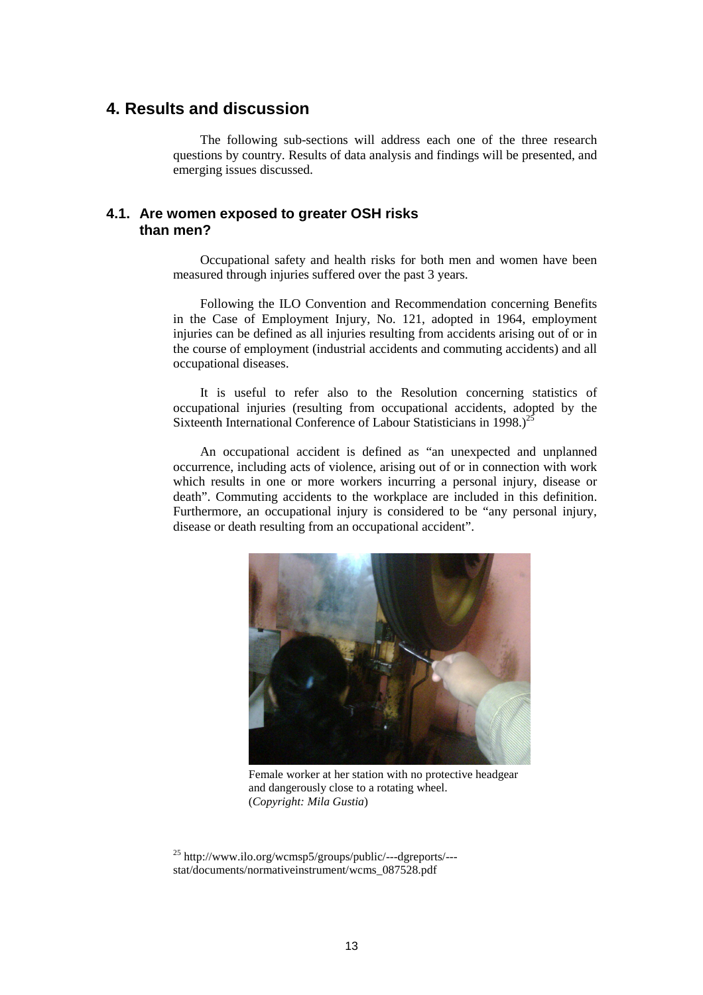# **4. Results and discussion**

The following sub-sections will address each one of the three research questions by country. Results of data analysis and findings will be presented, and emerging issues discussed.

# **4.1. Are women exposed to greater OSH risks than men?**

Occupational safety and health risks for both men and women have been measured through injuries suffered over the past 3 years.

Following the ILO Convention and Recommendation concerning Benefits in the Case of Employment Injury, No. 121, adopted in 1964, employment injuries can be defined as all injuries resulting from accidents arising out of or in the course of employment (industrial accidents and commuting accidents) and all occupational diseases.

It is useful to refer also to the Resolution concerning statistics of occupational injuries (resulting from occupational accidents, adopted by the Sixteenth International Conference of Labour Statisticians in 1998.)<sup>25</sup>

An occupational accident is defined as "an unexpected and unplanned occurrence, including acts of violence, arising out of or in connection with work which results in one or more workers incurring a personal injury, disease or death". Commuting accidents to the workplace are included in this definition. Furthermore, an occupational injury is considered to be "any personal injury, disease or death resulting from an occupational accident".



Female worker at her station with no protective headgear and dangerously close to a rotating wheel. (*Copyright: Mila Gustia*)

<sup>25</sup> http://www.ilo.org/wcmsp5/groups/public/---dgreports/-- stat/documents/normativeinstrument/wcms\_087528.pdf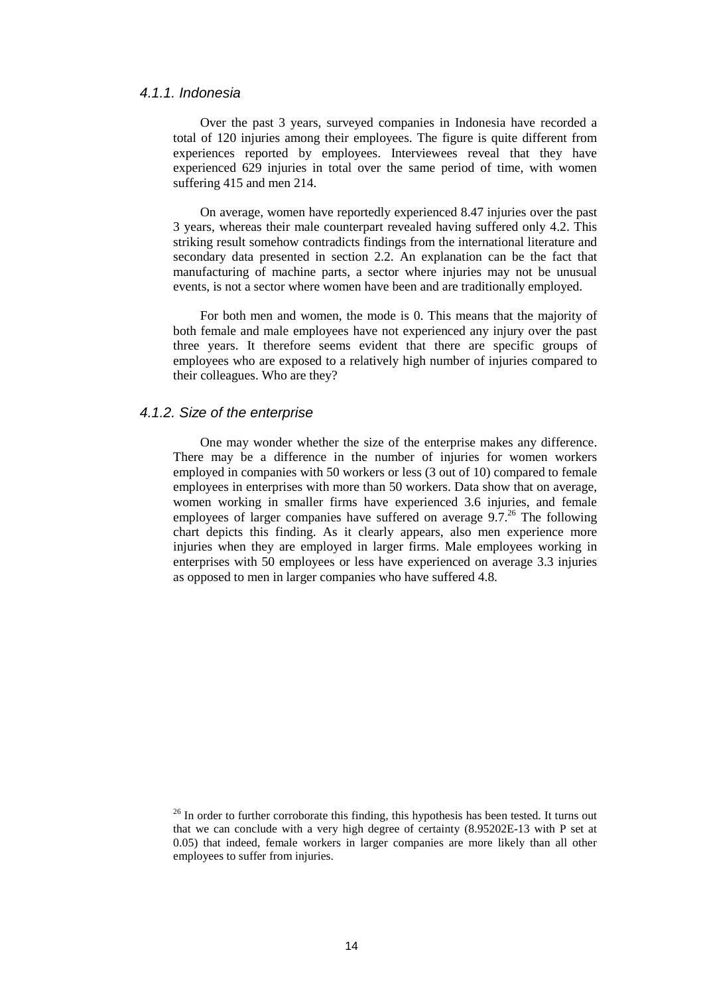#### 4.1.1. Indonesia

Over the past 3 years, surveyed companies in Indonesia have recorded a total of 120 injuries among their employees. The figure is quite different from experiences reported by employees. Interviewees reveal that they have experienced 629 injuries in total over the same period of time, with women suffering 415 and men 214.

On average, women have reportedly experienced 8.47 injuries over the past 3 years, whereas their male counterpart revealed having suffered only 4.2. This striking result somehow contradicts findings from the international literature and secondary data presented in section 2.2. An explanation can be the fact that manufacturing of machine parts, a sector where injuries may not be unusual events, is not a sector where women have been and are traditionally employed.

For both men and women, the mode is 0. This means that the majority of both female and male employees have not experienced any injury over the past three years. It therefore seems evident that there are specific groups of employees who are exposed to a relatively high number of injuries compared to their colleagues. Who are they?

# 4.1.2. Size of the enterprise

One may wonder whether the size of the enterprise makes any difference. There may be a difference in the number of injuries for women workers employed in companies with 50 workers or less (3 out of 10) compared to female employees in enterprises with more than 50 workers. Data show that on average, women working in smaller firms have experienced 3.6 injuries, and female employees of larger companies have suffered on average  $9.7<sup>26</sup>$  The following chart depicts this finding. As it clearly appears, also men experience more injuries when they are employed in larger firms. Male employees working in enterprises with 50 employees or less have experienced on average 3.3 injuries as opposed to men in larger companies who have suffered 4.8.

 $26$  In order to further corroborate this finding, this hypothesis has been tested. It turns out that we can conclude with a very high degree of certainty (8.95202E-13 with P set at 0.05) that indeed, female workers in larger companies are more likely than all other employees to suffer from injuries.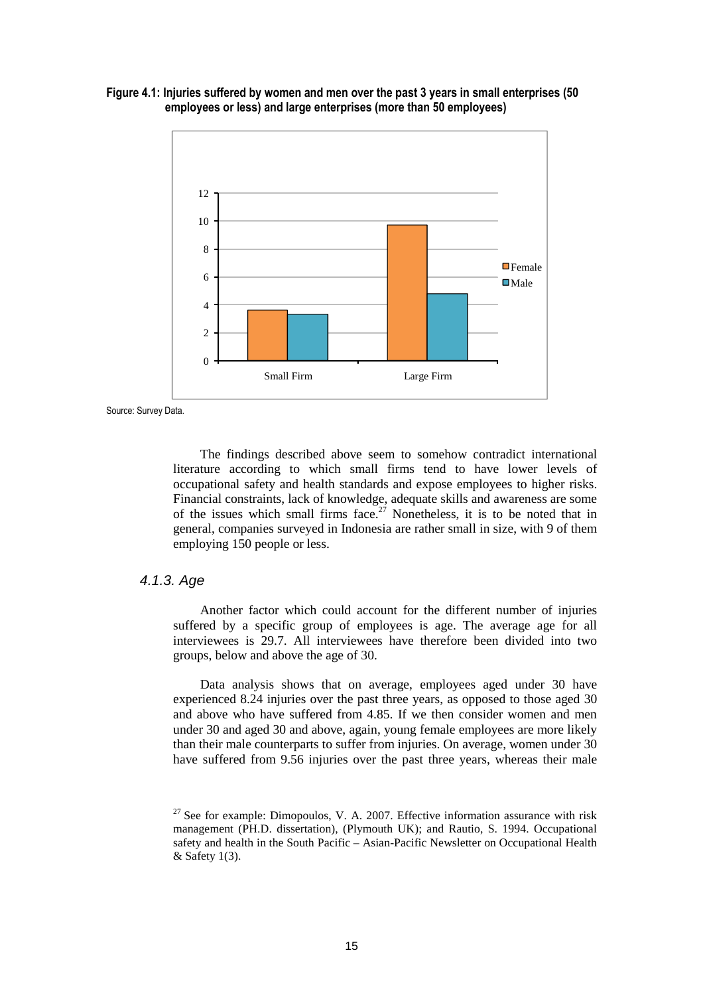



Source: Survey Data.

The findings described above seem to somehow contradict international literature according to which small firms tend to have lower levels of occupational safety and health standards and expose employees to higher risks. Financial constraints, lack of knowledge, adequate skills and awareness are some of the issues which small firms face.<sup>27</sup> Nonetheless, it is to be noted that in general, companies surveyed in Indonesia are rather small in size, with 9 of them employing 150 people or less.

## 4.1.3. Age

Another factor which could account for the different number of injuries suffered by a specific group of employees is age. The average age for all interviewees is 29.7. All interviewees have therefore been divided into two groups, below and above the age of 30.

Data analysis shows that on average, employees aged under 30 have experienced 8.24 injuries over the past three years, as opposed to those aged 30 and above who have suffered from 4.85. If we then consider women and men under 30 and aged 30 and above, again, young female employees are more likely than their male counterparts to suffer from injuries. On average, women under 30 have suffered from 9.56 injuries over the past three years, whereas their male

 $27$  See for example: Dimopoulos, V. A. 2007. Effective information assurance with risk management (PH.D. dissertation), (Plymouth UK); and Rautio, S. 1994. Occupational safety and health in the South Pacific – Asian-Pacific Newsletter on Occupational Health & Safety 1(3).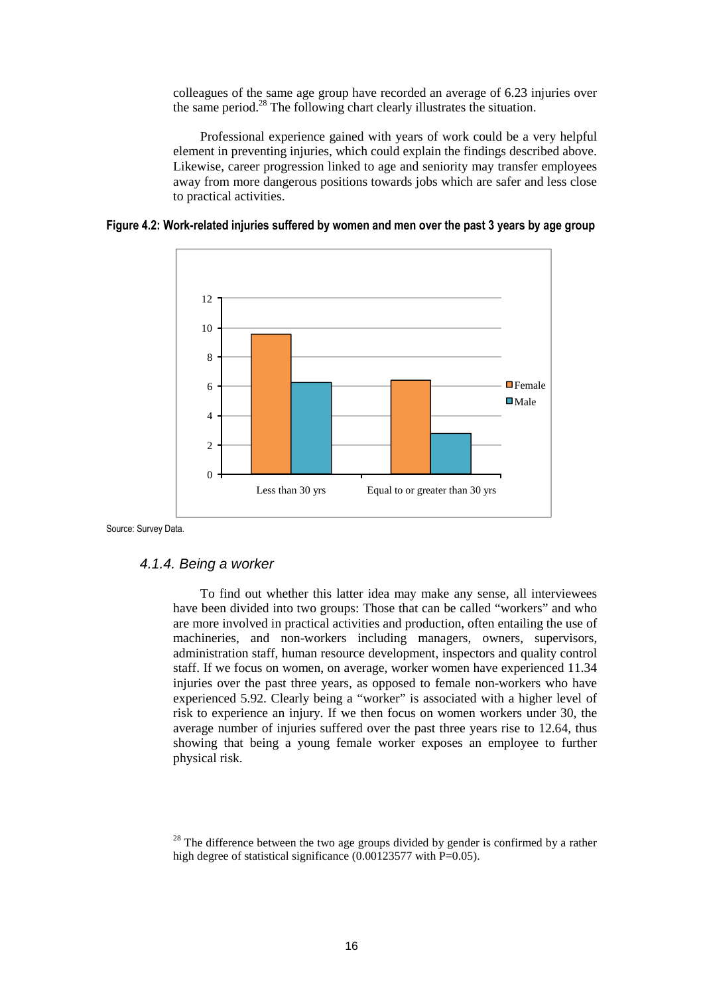colleagues of the same age group have recorded an average of 6.23 injuries over the same period.<sup>28</sup> The following chart clearly illustrates the situation.

Professional experience gained with years of work could be a very helpful element in preventing injuries, which could explain the findings described above. Likewise, career progression linked to age and seniority may transfer employees away from more dangerous positions towards jobs which are safer and less close to practical activities.





Source: Survey Data.

## 4.1.4. Being a worker

To find out whether this latter idea may make any sense, all interviewees have been divided into two groups: Those that can be called "workers" and who are more involved in practical activities and production, often entailing the use of machineries, and non-workers including managers, owners, supervisors, administration staff, human resource development, inspectors and quality control staff. If we focus on women, on average, worker women have experienced 11.34 injuries over the past three years, as opposed to female non-workers who have experienced 5.92. Clearly being a "worker" is associated with a higher level of risk to experience an injury. If we then focus on women workers under 30, the average number of injuries suffered over the past three years rise to 12.64, thus showing that being a young female worker exposes an employee to further physical risk.

 $28$  The difference between the two age groups divided by gender is confirmed by a rather high degree of statistical significance (0.00123577 with P=0.05).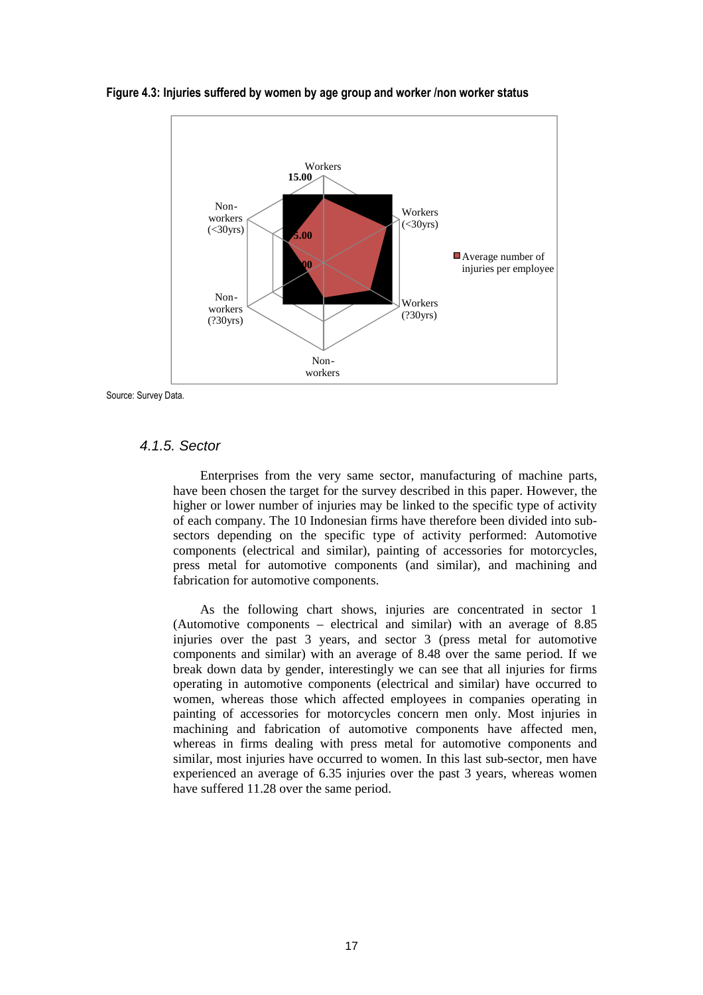

**Figure 4.3: Injuries suffered by women by age group and worker /non worker status** 

Source: Survey Data.

## 4.1.5. Sector

Enterprises from the very same sector, manufacturing of machine parts, have been chosen the target for the survey described in this paper. However, the higher or lower number of injuries may be linked to the specific type of activity of each company. The 10 Indonesian firms have therefore been divided into subsectors depending on the specific type of activity performed: Automotive components (electrical and similar), painting of accessories for motorcycles, press metal for automotive components (and similar), and machining and fabrication for automotive components.

As the following chart shows, injuries are concentrated in sector 1 (Automotive components – electrical and similar) with an average of 8.85 injuries over the past 3 years, and sector 3 (press metal for automotive components and similar) with an average of 8.48 over the same period. If we break down data by gender, interestingly we can see that all injuries for firms operating in automotive components (electrical and similar) have occurred to women, whereas those which affected employees in companies operating in painting of accessories for motorcycles concern men only. Most injuries in machining and fabrication of automotive components have affected men, whereas in firms dealing with press metal for automotive components and similar, most injuries have occurred to women. In this last sub-sector, men have experienced an average of 6.35 injuries over the past 3 years, whereas women have suffered 11.28 over the same period.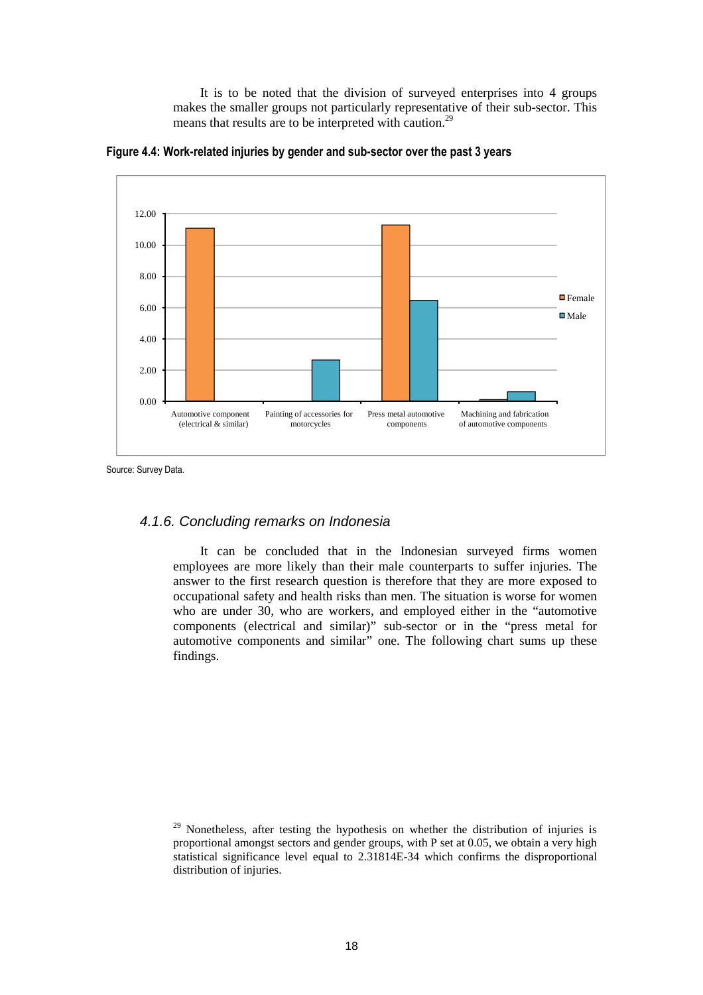It is to be noted that the division of surveyed enterprises into 4 groups makes the smaller groups not particularly representative of their sub-sector. This means that results are to be interpreted with caution.<sup>29</sup>



**Figure 4.4: Work-related injuries by gender and sub-sector over the past 3 years** 

Source: Survey Data.

## 4.1.6. Concluding remarks on Indonesia

It can be concluded that in the Indonesian surveyed firms women employees are more likely than their male counterparts to suffer injuries. The answer to the first research question is therefore that they are more exposed to occupational safety and health risks than men. The situation is worse for women who are under 30, who are workers, and employed either in the "automotive components (electrical and similar)" sub-sector or in the "press metal for automotive components and similar" one. The following chart sums up these findings.

<sup>&</sup>lt;sup>29</sup> Nonetheless, after testing the hypothesis on whether the distribution of injuries is proportional amongst sectors and gender groups, with P set at 0.05, we obtain a very high statistical significance level equal to 2.31814E-34 which confirms the disproportional distribution of injuries.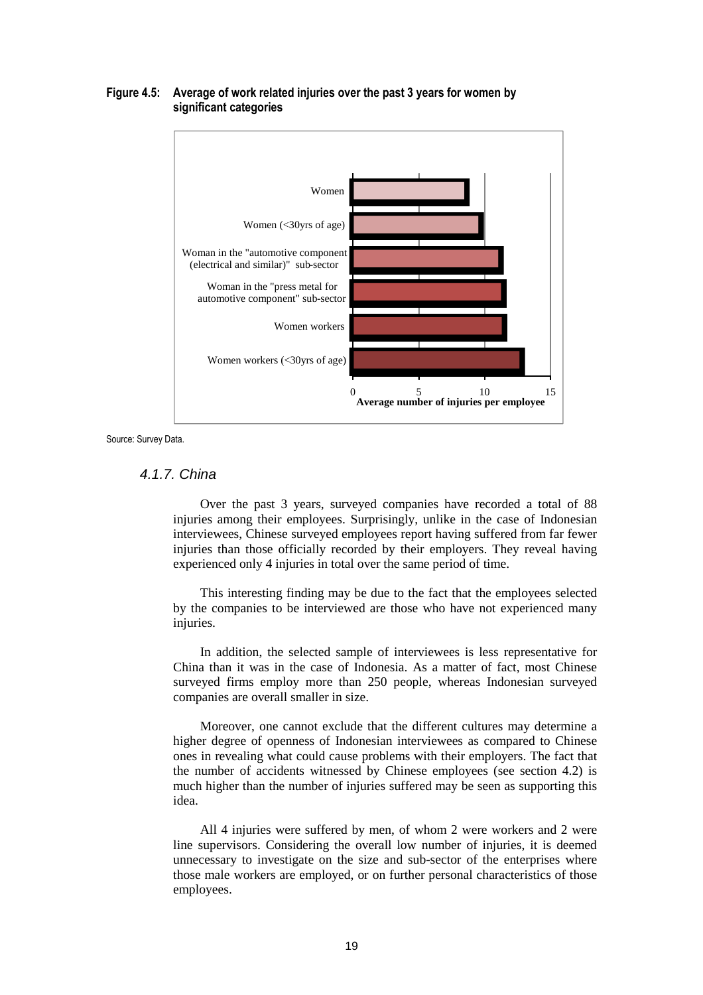

## **Figure 4.5: Average of work related injuries over the past 3 years for women by significant categories**

Source: Survey Data.

# 4.1.7. China

Over the past 3 years, surveyed companies have recorded a total of 88 injuries among their employees. Surprisingly, unlike in the case of Indonesian interviewees, Chinese surveyed employees report having suffered from far fewer injuries than those officially recorded by their employers. They reveal having experienced only 4 injuries in total over the same period of time.

This interesting finding may be due to the fact that the employees selected by the companies to be interviewed are those who have not experienced many injuries.

In addition, the selected sample of interviewees is less representative for China than it was in the case of Indonesia. As a matter of fact, most Chinese surveyed firms employ more than 250 people, whereas Indonesian surveyed companies are overall smaller in size.

Moreover, one cannot exclude that the different cultures may determine a higher degree of openness of Indonesian interviewees as compared to Chinese ones in revealing what could cause problems with their employers. The fact that the number of accidents witnessed by Chinese employees (see section 4.2) is much higher than the number of injuries suffered may be seen as supporting this idea.

All 4 injuries were suffered by men, of whom 2 were workers and 2 were line supervisors. Considering the overall low number of injuries, it is deemed unnecessary to investigate on the size and sub-sector of the enterprises where those male workers are employed, or on further personal characteristics of those employees.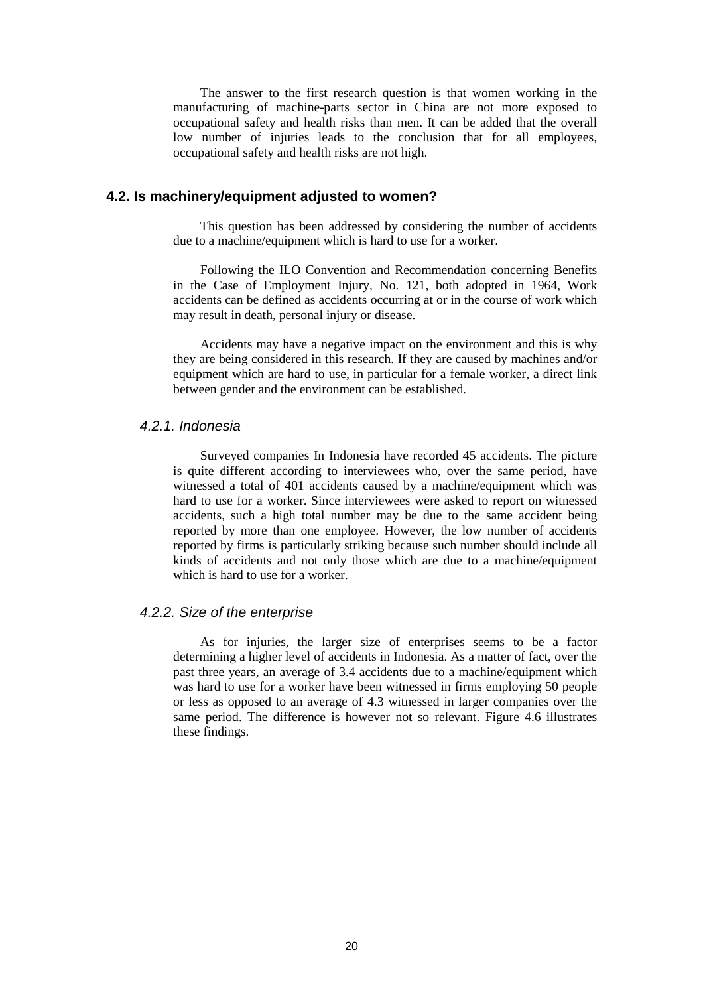The answer to the first research question is that women working in the manufacturing of machine-parts sector in China are not more exposed to occupational safety and health risks than men. It can be added that the overall low number of injuries leads to the conclusion that for all employees, occupational safety and health risks are not high.

#### **4.2. Is machinery/equipment adjusted to women?**

This question has been addressed by considering the number of accidents due to a machine/equipment which is hard to use for a worker.

Following the ILO Convention and Recommendation concerning Benefits in the Case of Employment Injury, No. 121, both adopted in 1964, Work accidents can be defined as accidents occurring at or in the course of work which may result in death, personal injury or disease.

Accidents may have a negative impact on the environment and this is why they are being considered in this research. If they are caused by machines and/or equipment which are hard to use, in particular for a female worker, a direct link between gender and the environment can be established.

## 4.2.1. Indonesia

Surveyed companies In Indonesia have recorded 45 accidents. The picture is quite different according to interviewees who, over the same period, have witnessed a total of 401 accidents caused by a machine/equipment which was hard to use for a worker. Since interviewees were asked to report on witnessed accidents, such a high total number may be due to the same accident being reported by more than one employee. However, the low number of accidents reported by firms is particularly striking because such number should include all kinds of accidents and not only those which are due to a machine/equipment which is hard to use for a worker.

#### 4.2.2. Size of the enterprise

As for injuries, the larger size of enterprises seems to be a factor determining a higher level of accidents in Indonesia. As a matter of fact, over the past three years, an average of 3.4 accidents due to a machine/equipment which was hard to use for a worker have been witnessed in firms employing 50 people or less as opposed to an average of 4.3 witnessed in larger companies over the same period. The difference is however not so relevant. Figure 4.6 illustrates these findings.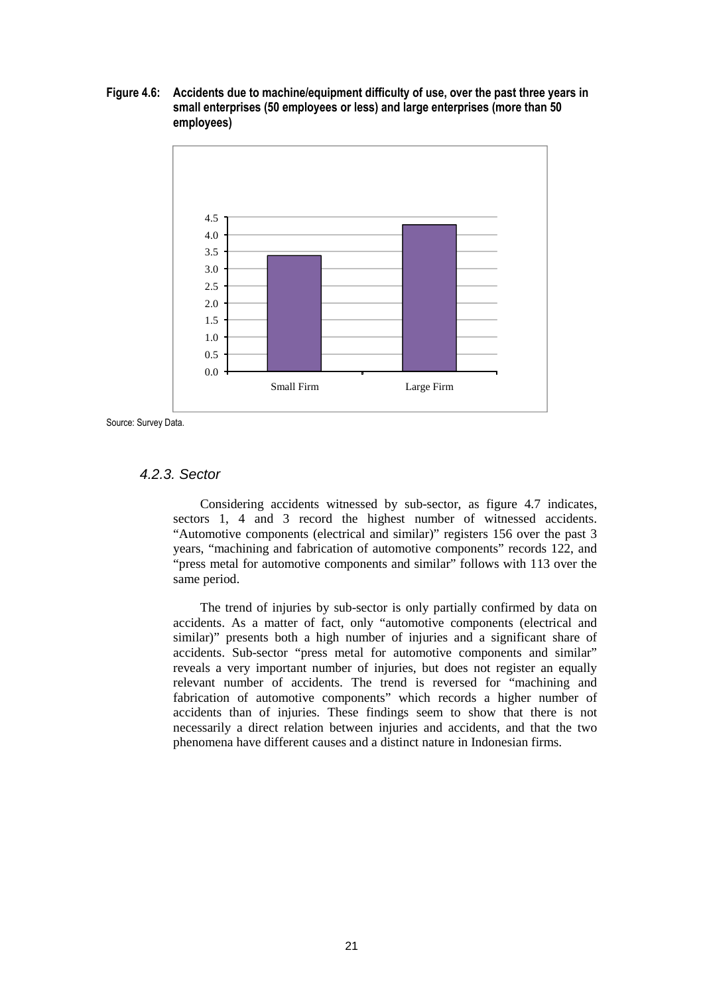**Figure 4.6: Accidents due to machine/equipment difficulty of use, over the past three years in small enterprises (50 employees or less) and large enterprises (more than 50 employees)** 



Source: Survey Data.

# 4.2.3. Sector

Considering accidents witnessed by sub-sector, as figure 4.7 indicates, sectors 1, 4 and 3 record the highest number of witnessed accidents. "Automotive components (electrical and similar)" registers 156 over the past 3 years, "machining and fabrication of automotive components" records 122, and "press metal for automotive components and similar" follows with 113 over the same period.

The trend of injuries by sub-sector is only partially confirmed by data on accidents. As a matter of fact, only "automotive components (electrical and similar)" presents both a high number of injuries and a significant share of accidents. Sub-sector "press metal for automotive components and similar" reveals a very important number of injuries, but does not register an equally relevant number of accidents. The trend is reversed for "machining and fabrication of automotive components" which records a higher number of accidents than of injuries. These findings seem to show that there is not necessarily a direct relation between injuries and accidents, and that the two phenomena have different causes and a distinct nature in Indonesian firms.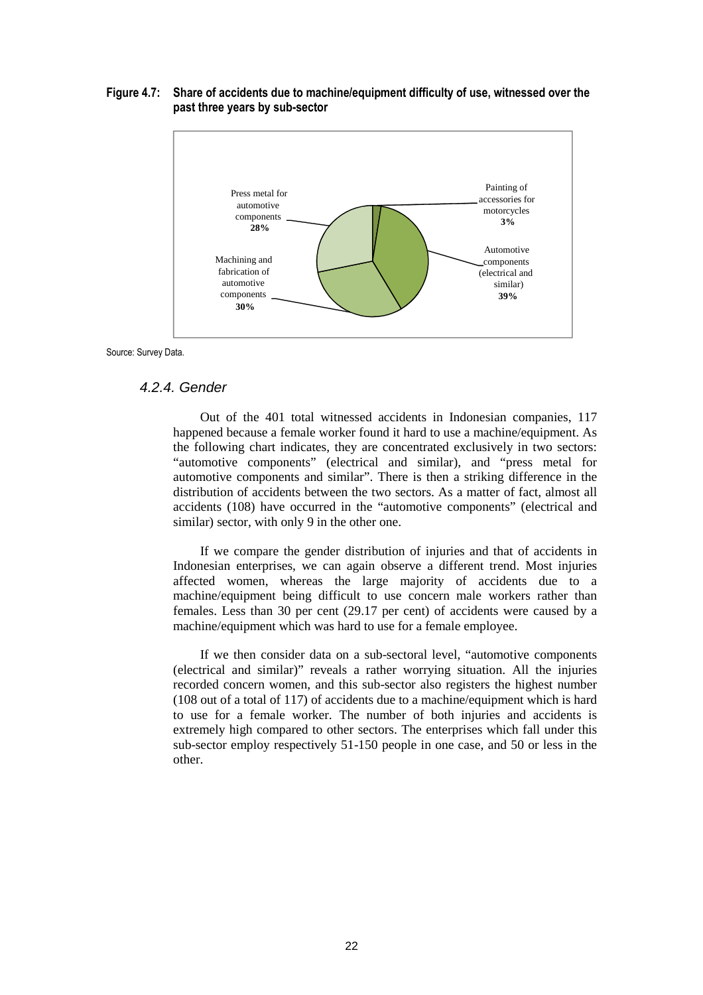#### **Figure 4.7: Share of accidents due to machine/equipment difficulty of use, witnessed over the past three years by sub-sector**



Source: Survey Data.

#### 4.2.4. Gender

Out of the 401 total witnessed accidents in Indonesian companies, 117 happened because a female worker found it hard to use a machine/equipment. As the following chart indicates, they are concentrated exclusively in two sectors: "automotive components" (electrical and similar), and "press metal for automotive components and similar". There is then a striking difference in the distribution of accidents between the two sectors. As a matter of fact, almost all accidents (108) have occurred in the "automotive components" (electrical and similar) sector, with only 9 in the other one.

If we compare the gender distribution of injuries and that of accidents in Indonesian enterprises, we can again observe a different trend. Most injuries affected women, whereas the large majority of accidents due to a machine/equipment being difficult to use concern male workers rather than females. Less than 30 per cent (29.17 per cent) of accidents were caused by a machine/equipment which was hard to use for a female employee.

If we then consider data on a sub-sectoral level, "automotive components (electrical and similar)" reveals a rather worrying situation. All the injuries recorded concern women, and this sub-sector also registers the highest number (108 out of a total of 117) of accidents due to a machine/equipment which is hard to use for a female worker. The number of both injuries and accidents is extremely high compared to other sectors. The enterprises which fall under this sub-sector employ respectively 51-150 people in one case, and 50 or less in the other.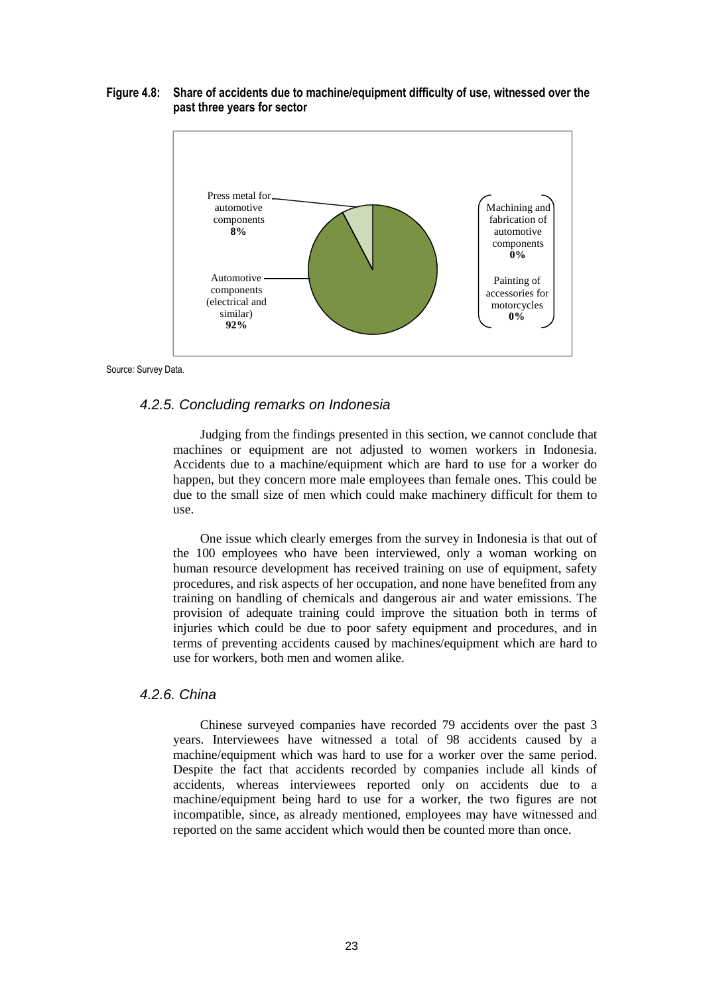#### **Figure 4.8: Share of accidents due to machine/equipment difficulty of use, witnessed over the past three years for sector**



Source: Survey Data.

#### 4.2.5. Concluding remarks on Indonesia

Judging from the findings presented in this section, we cannot conclude that machines or equipment are not adjusted to women workers in Indonesia. Accidents due to a machine/equipment which are hard to use for a worker do happen, but they concern more male employees than female ones. This could be due to the small size of men which could make machinery difficult for them to use.

One issue which clearly emerges from the survey in Indonesia is that out of the 100 employees who have been interviewed, only a woman working on human resource development has received training on use of equipment, safety procedures, and risk aspects of her occupation, and none have benefited from any training on handling of chemicals and dangerous air and water emissions. The provision of adequate training could improve the situation both in terms of injuries which could be due to poor safety equipment and procedures, and in terms of preventing accidents caused by machines/equipment which are hard to use for workers, both men and women alike.

## 4.2.6. China

Chinese surveyed companies have recorded 79 accidents over the past 3 years. Interviewees have witnessed a total of 98 accidents caused by a machine/equipment which was hard to use for a worker over the same period. Despite the fact that accidents recorded by companies include all kinds of accidents, whereas interviewees reported only on accidents due to a machine/equipment being hard to use for a worker, the two figures are not incompatible, since, as already mentioned, employees may have witnessed and reported on the same accident which would then be counted more than once.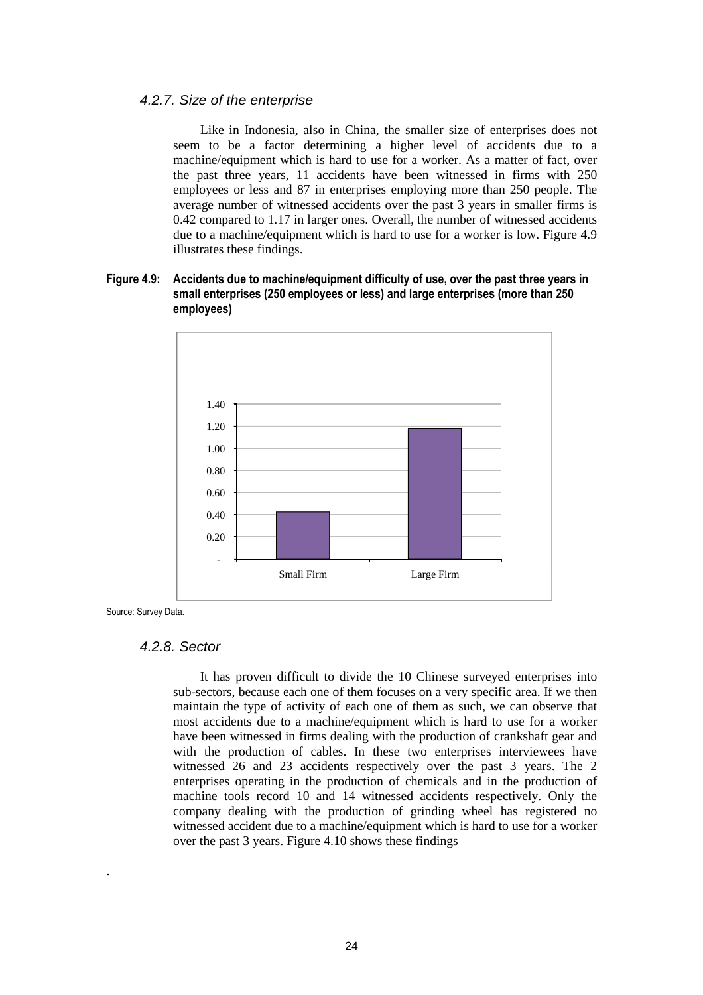# 4.2.7. Size of the enterprise

Like in Indonesia, also in China, the smaller size of enterprises does not seem to be a factor determining a higher level of accidents due to a machine/equipment which is hard to use for a worker. As a matter of fact, over the past three years, 11 accidents have been witnessed in firms with 250 employees or less and 87 in enterprises employing more than 250 people. The average number of witnessed accidents over the past 3 years in smaller firms is 0.42 compared to 1.17 in larger ones. Overall, the number of witnessed accidents due to a machine/equipment which is hard to use for a worker is low. Figure 4.9 illustrates these findings.

## **Figure 4.9: Accidents due to machine/equipment difficulty of use, over the past three years in small enterprises (250 employees or less) and large enterprises (more than 250 employees)**



Source: Survey Data.

.

#### 4.2.8. Sector

It has proven difficult to divide the 10 Chinese surveyed enterprises into sub-sectors, because each one of them focuses on a very specific area. If we then maintain the type of activity of each one of them as such, we can observe that most accidents due to a machine/equipment which is hard to use for a worker have been witnessed in firms dealing with the production of crankshaft gear and with the production of cables. In these two enterprises interviewees have witnessed 26 and 23 accidents respectively over the past 3 years. The 2 enterprises operating in the production of chemicals and in the production of machine tools record 10 and 14 witnessed accidents respectively. Only the company dealing with the production of grinding wheel has registered no witnessed accident due to a machine/equipment which is hard to use for a worker over the past 3 years. Figure 4.10 shows these findings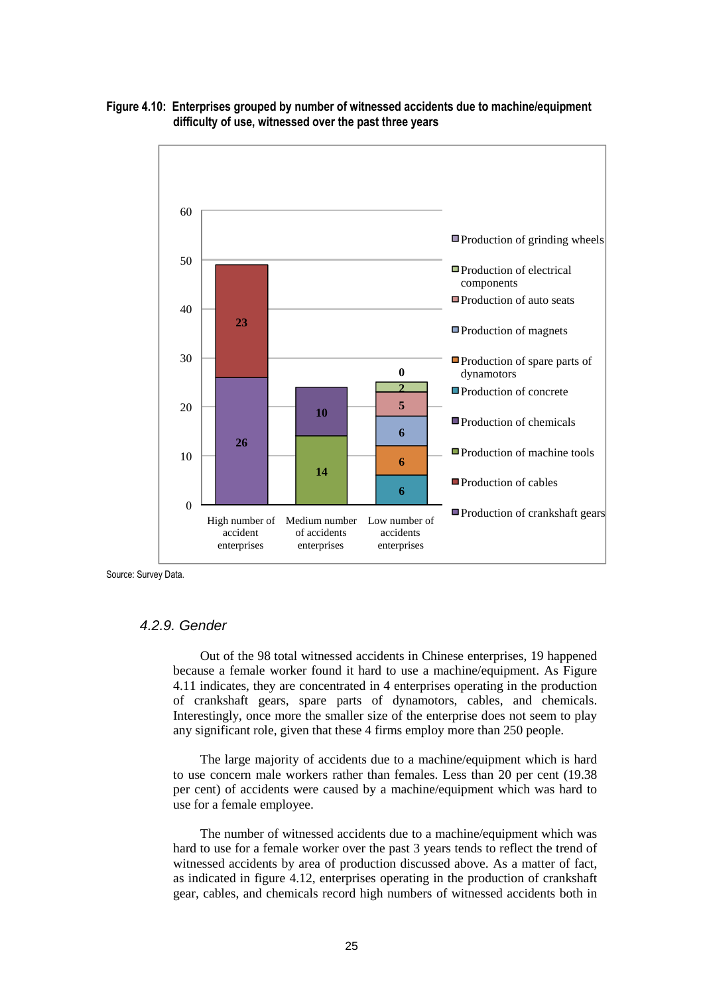

## **Figure 4.10: Enterprises grouped by number of witnessed accidents due to machine/equipment difficulty of use, witnessed over the past three years**

Source: Survey Data.

# 4.2.9. Gender

Out of the 98 total witnessed accidents in Chinese enterprises, 19 happened because a female worker found it hard to use a machine/equipment. As Figure 4.11 indicates, they are concentrated in 4 enterprises operating in the production of crankshaft gears, spare parts of dynamotors, cables, and chemicals. Interestingly, once more the smaller size of the enterprise does not seem to play any significant role, given that these 4 firms employ more than 250 people.

The large majority of accidents due to a machine/equipment which is hard to use concern male workers rather than females. Less than 20 per cent (19.38 per cent) of accidents were caused by a machine/equipment which was hard to use for a female employee.

The number of witnessed accidents due to a machine/equipment which was hard to use for a female worker over the past 3 years tends to reflect the trend of witnessed accidents by area of production discussed above. As a matter of fact, as indicated in figure 4.12, enterprises operating in the production of crankshaft gear, cables, and chemicals record high numbers of witnessed accidents both in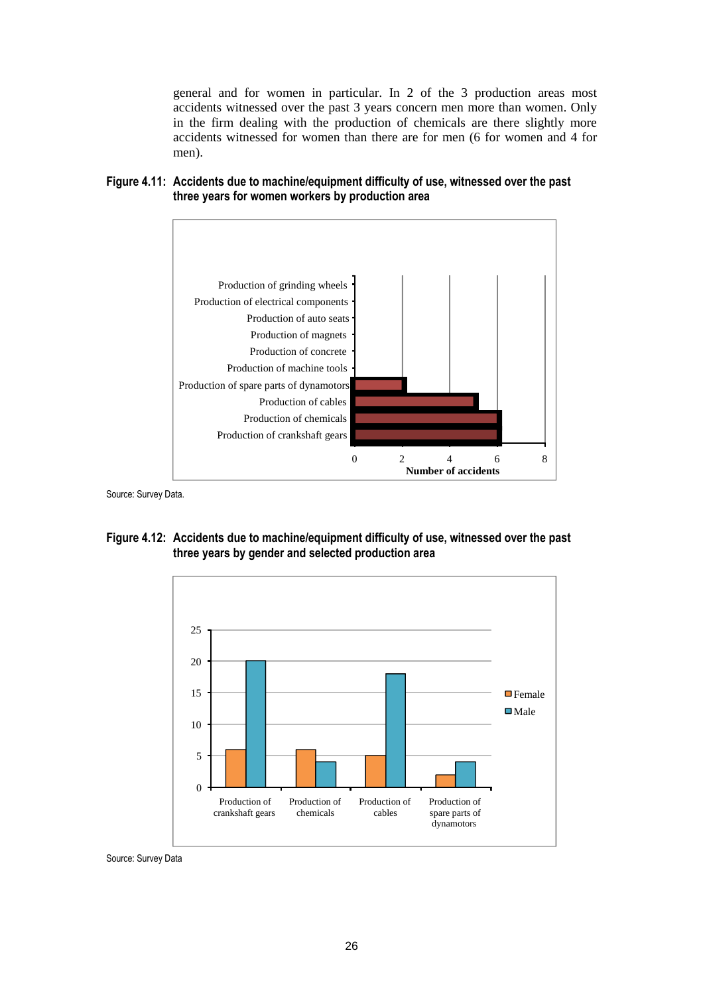general and for women in particular. In 2 of the 3 production areas most accidents witnessed over the past 3 years concern men more than women. Only in the firm dealing with the production of chemicals are there slightly more accidents witnessed for women than there are for men (6 for women and 4 for men).





Source: Survey Data.

**Figure 4.12: Accidents due to machine/equipment difficulty of use, witnessed over the past three years by gender and selected production area** 



Source: Survey Data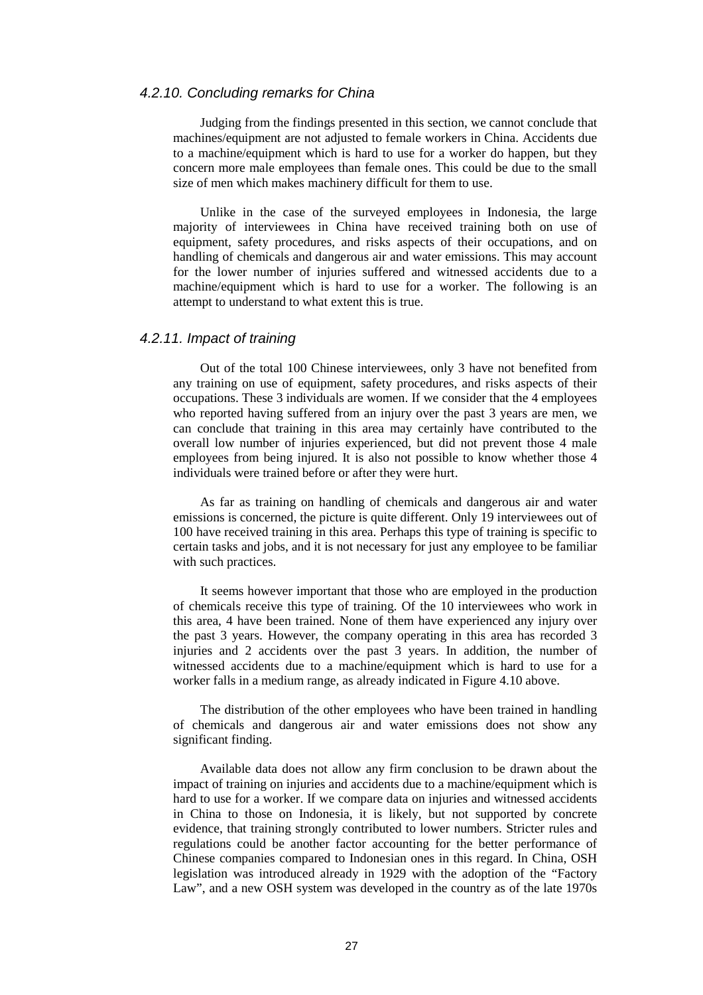#### 4.2.10. Concluding remarks for China

Judging from the findings presented in this section, we cannot conclude that machines/equipment are not adjusted to female workers in China. Accidents due to a machine/equipment which is hard to use for a worker do happen, but they concern more male employees than female ones. This could be due to the small size of men which makes machinery difficult for them to use.

Unlike in the case of the surveyed employees in Indonesia, the large majority of interviewees in China have received training both on use of equipment, safety procedures, and risks aspects of their occupations, and on handling of chemicals and dangerous air and water emissions. This may account for the lower number of injuries suffered and witnessed accidents due to a machine/equipment which is hard to use for a worker. The following is an attempt to understand to what extent this is true.

## 4.2.11. Impact of training

Out of the total 100 Chinese interviewees, only 3 have not benefited from any training on use of equipment, safety procedures, and risks aspects of their occupations. These 3 individuals are women. If we consider that the 4 employees who reported having suffered from an injury over the past 3 years are men, we can conclude that training in this area may certainly have contributed to the overall low number of injuries experienced, but did not prevent those 4 male employees from being injured. It is also not possible to know whether those 4 individuals were trained before or after they were hurt.

As far as training on handling of chemicals and dangerous air and water emissions is concerned, the picture is quite different. Only 19 interviewees out of 100 have received training in this area. Perhaps this type of training is specific to certain tasks and jobs, and it is not necessary for just any employee to be familiar with such practices.

It seems however important that those who are employed in the production of chemicals receive this type of training. Of the 10 interviewees who work in this area, 4 have been trained. None of them have experienced any injury over the past 3 years. However, the company operating in this area has recorded 3 injuries and 2 accidents over the past 3 years. In addition, the number of witnessed accidents due to a machine/equipment which is hard to use for a worker falls in a medium range, as already indicated in Figure 4.10 above.

The distribution of the other employees who have been trained in handling of chemicals and dangerous air and water emissions does not show any significant finding.

Available data does not allow any firm conclusion to be drawn about the impact of training on injuries and accidents due to a machine/equipment which is hard to use for a worker. If we compare data on injuries and witnessed accidents in China to those on Indonesia, it is likely, but not supported by concrete evidence, that training strongly contributed to lower numbers. Stricter rules and regulations could be another factor accounting for the better performance of Chinese companies compared to Indonesian ones in this regard. In China, OSH legislation was introduced already in 1929 with the adoption of the "Factory Law", and a new OSH system was developed in the country as of the late 1970s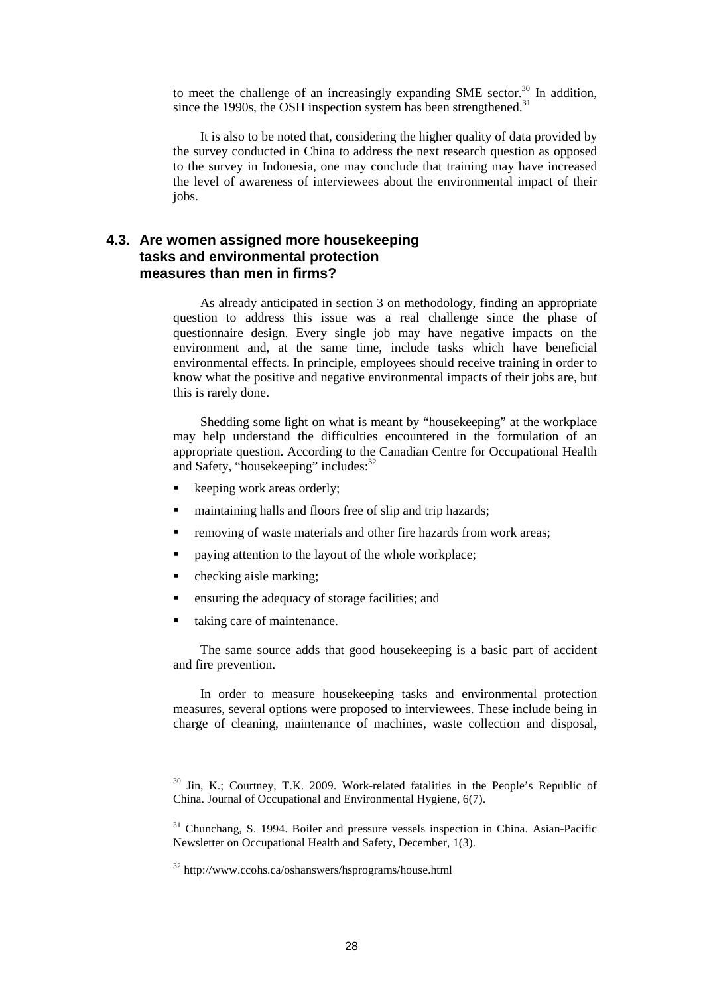to meet the challenge of an increasingly expanding SME sector.<sup>30</sup> In addition, since the 1990s, the OSH inspection system has been strengthened. $31$ 

It is also to be noted that, considering the higher quality of data provided by the survey conducted in China to address the next research question as opposed to the survey in Indonesia, one may conclude that training may have increased the level of awareness of interviewees about the environmental impact of their jobs.

# **4.3. Are women assigned more housekeeping tasks and environmental protection measures than men in firms?**

As already anticipated in section 3 on methodology, finding an appropriate question to address this issue was a real challenge since the phase of questionnaire design. Every single job may have negative impacts on the environment and, at the same time, include tasks which have beneficial environmental effects. In principle, employees should receive training in order to know what the positive and negative environmental impacts of their jobs are, but this is rarely done.

Shedding some light on what is meant by "housekeeping" at the workplace may help understand the difficulties encountered in the formulation of an appropriate question. According to the Canadian Centre for Occupational Health and Safety, "housekeeping" includes:<sup>32</sup>

- keeping work areas orderly;
- maintaining halls and floors free of slip and trip hazards;
- removing of waste materials and other fire hazards from work areas;
- paying attention to the layout of the whole workplace;
- checking aisle marking;
- ensuring the adequacy of storage facilities; and
- taking care of maintenance.

The same source adds that good housekeeping is a basic part of accident and fire prevention.

In order to measure housekeeping tasks and environmental protection measures, several options were proposed to interviewees. These include being in charge of cleaning, maintenance of machines, waste collection and disposal,

<sup>&</sup>lt;sup>30</sup> Jin, K.; Courtney, T.K. 2009. Work-related fatalities in the People's Republic of China. Journal of Occupational and Environmental Hygiene, 6(7).

<sup>&</sup>lt;sup>31</sup> Chunchang, S. 1994. Boiler and pressure vessels inspection in China. Asian-Pacific Newsletter on Occupational Health and Safety, December, 1(3).

<sup>32</sup> http://www.ccohs.ca/oshanswers/hsprograms/house.html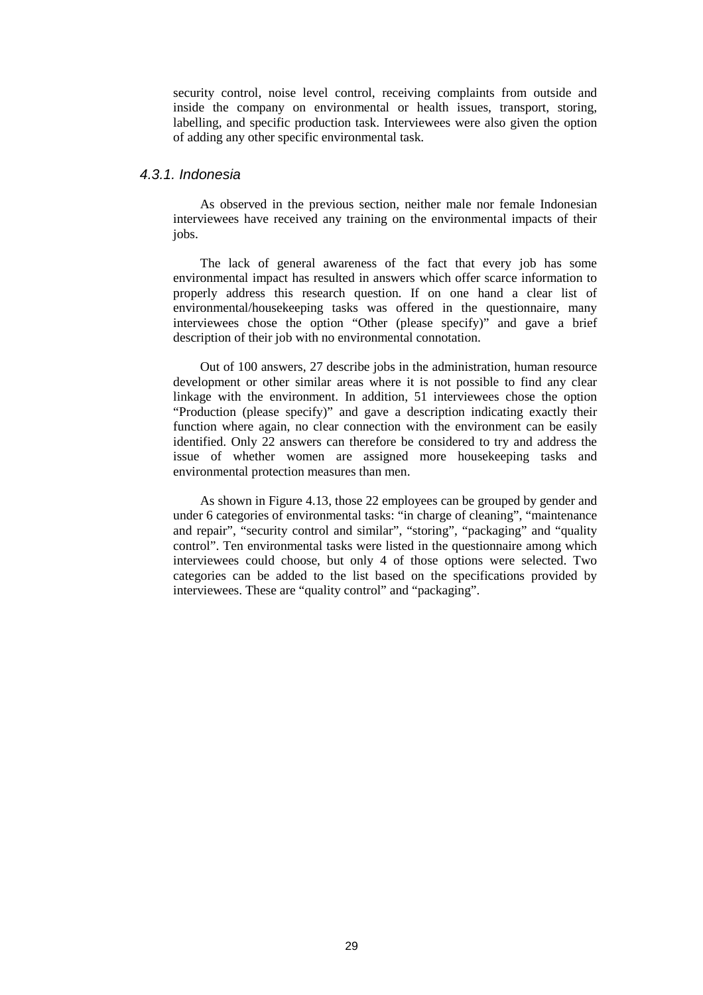security control, noise level control, receiving complaints from outside and inside the company on environmental or health issues, transport, storing, labelling, and specific production task. Interviewees were also given the option of adding any other specific environmental task.

## 4.3.1. Indonesia

As observed in the previous section, neither male nor female Indonesian interviewees have received any training on the environmental impacts of their jobs.

The lack of general awareness of the fact that every job has some environmental impact has resulted in answers which offer scarce information to properly address this research question. If on one hand a clear list of environmental/housekeeping tasks was offered in the questionnaire, many interviewees chose the option "Other (please specify)" and gave a brief description of their job with no environmental connotation.

Out of 100 answers, 27 describe jobs in the administration, human resource development or other similar areas where it is not possible to find any clear linkage with the environment. In addition, 51 interviewees chose the option "Production (please specify)" and gave a description indicating exactly their function where again, no clear connection with the environment can be easily identified. Only 22 answers can therefore be considered to try and address the issue of whether women are assigned more housekeeping tasks and environmental protection measures than men.

As shown in Figure 4.13, those 22 employees can be grouped by gender and under 6 categories of environmental tasks: "in charge of cleaning", "maintenance and repair", "security control and similar", "storing", "packaging" and "quality" control". Ten environmental tasks were listed in the questionnaire among which interviewees could choose, but only 4 of those options were selected. Two categories can be added to the list based on the specifications provided by interviewees. These are "quality control" and "packaging".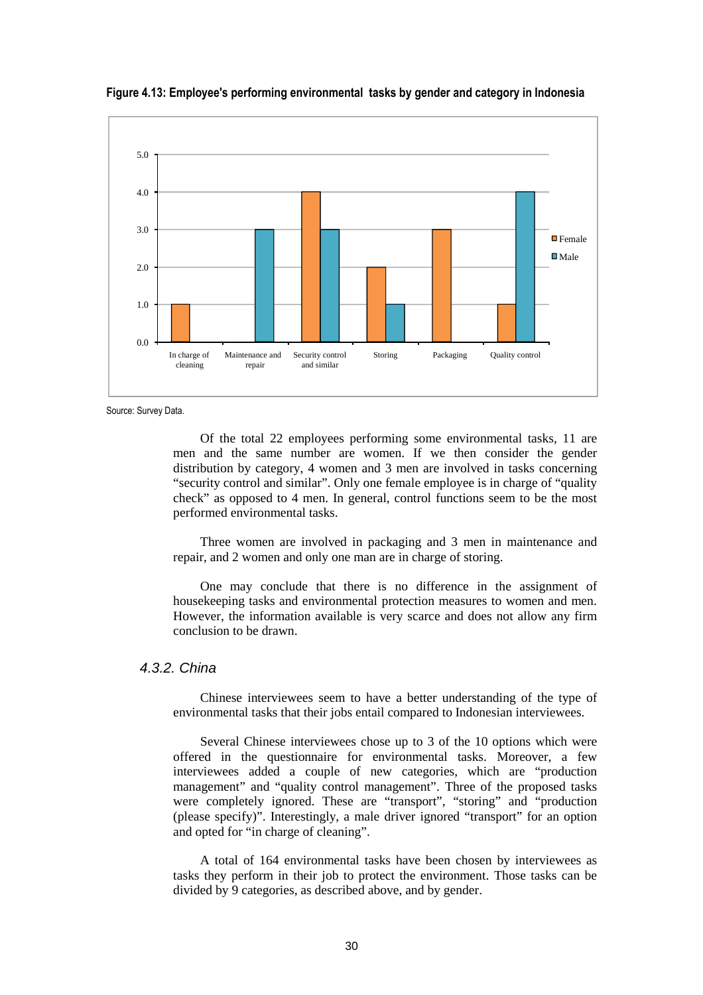

**Figure 4.13: Employee's performing environmental tasks by gender and category in Indonesia** 

Source: Survey Data.

Of the total 22 employees performing some environmental tasks, 11 are men and the same number are women. If we then consider the gender distribution by category, 4 women and 3 men are involved in tasks concerning "security control and similar". Only one female employee is in charge of "quality check" as opposed to 4 men. In general, control functions seem to be the most performed environmental tasks.

Three women are involved in packaging and 3 men in maintenance and repair, and 2 women and only one man are in charge of storing.

One may conclude that there is no difference in the assignment of housekeeping tasks and environmental protection measures to women and men. However, the information available is very scarce and does not allow any firm conclusion to be drawn.

#### 4.3.2. China

Chinese interviewees seem to have a better understanding of the type of environmental tasks that their jobs entail compared to Indonesian interviewees.

Several Chinese interviewees chose up to 3 of the 10 options which were offered in the questionnaire for environmental tasks. Moreover, a few interviewees added a couple of new categories, which are "production management" and "quality control management". Three of the proposed tasks were completely ignored. These are "transport", "storing" and "production (please specify)". Interestingly, a male driver ignored "transport" for an option and opted for "in charge of cleaning".

A total of 164 environmental tasks have been chosen by interviewees as tasks they perform in their job to protect the environment. Those tasks can be divided by 9 categories, as described above, and by gender.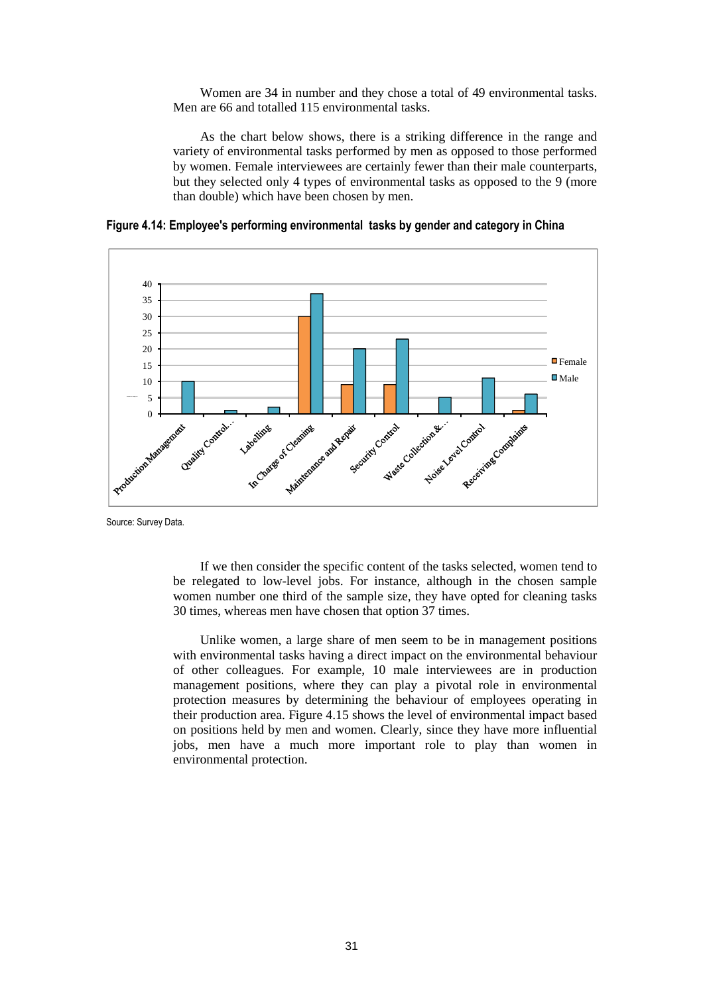Women are 34 in number and they chose a total of 49 environmental tasks. Men are 66 and totalled 115 environmental tasks.

As the chart below shows, there is a striking difference in the range and variety of environmental tasks performed by men as opposed to those performed by women. Female interviewees are certainly fewer than their male counterparts, but they selected only 4 types of environmental tasks as opposed to the 9 (more than double) which have been chosen by men.



**Figure 4.14: Employee's performing environmental tasks by gender and category in China** 

Source: Survey Data.

If we then consider the specific content of the tasks selected, women tend to be relegated to low-level jobs. For instance, although in the chosen sample women number one third of the sample size, they have opted for cleaning tasks 30 times, whereas men have chosen that option 37 times.

Unlike women, a large share of men seem to be in management positions with environmental tasks having a direct impact on the environmental behaviour of other colleagues. For example, 10 male interviewees are in production management positions, where they can play a pivotal role in environmental protection measures by determining the behaviour of employees operating in their production area. Figure 4.15 shows the level of environmental impact based on positions held by men and women. Clearly, since they have more influential jobs, men have a much more important role to play than women in environmental protection.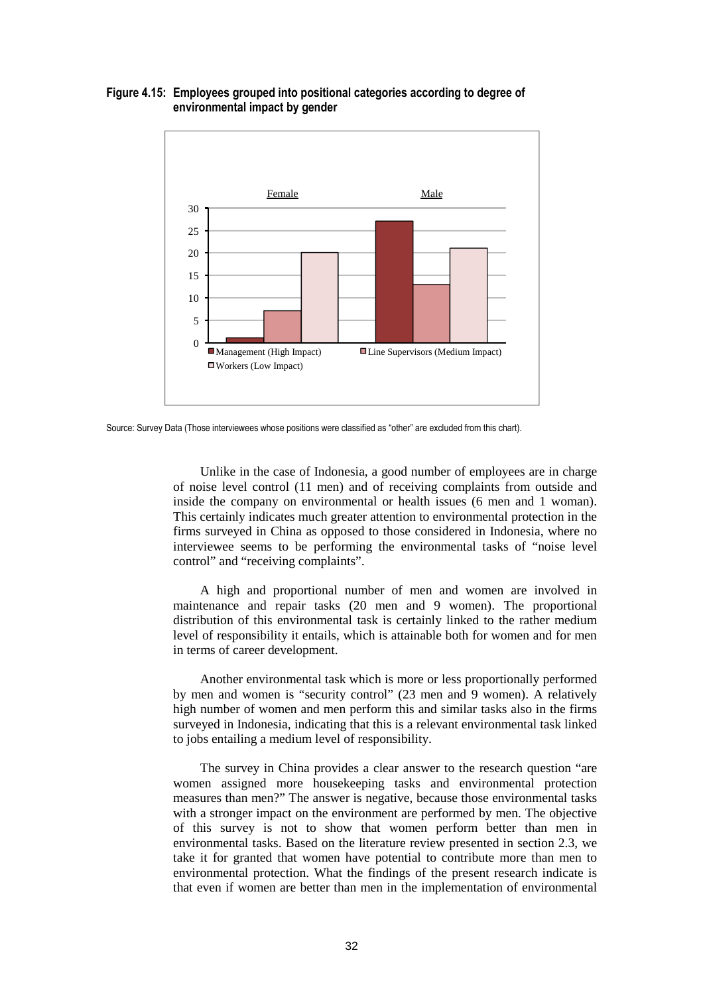#### **Figure 4.15: Employees grouped into positional categories according to degree of environmental impact by gender**



Source: Survey Data (Those interviewees whose positions were classified as "other" are excluded from this chart).

Unlike in the case of Indonesia, a good number of employees are in charge of noise level control (11 men) and of receiving complaints from outside and inside the company on environmental or health issues (6 men and 1 woman). This certainly indicates much greater attention to environmental protection in the firms surveyed in China as opposed to those considered in Indonesia, where no interviewee seems to be performing the environmental tasks of "noise level control" and "receiving complaints".

A high and proportional number of men and women are involved in maintenance and repair tasks (20 men and 9 women). The proportional distribution of this environmental task is certainly linked to the rather medium level of responsibility it entails, which is attainable both for women and for men in terms of career development.

Another environmental task which is more or less proportionally performed by men and women is "security control" (23 men and 9 women). A relatively high number of women and men perform this and similar tasks also in the firms surveyed in Indonesia, indicating that this is a relevant environmental task linked to jobs entailing a medium level of responsibility.

The survey in China provides a clear answer to the research question "are women assigned more housekeeping tasks and environmental protection measures than men?" The answer is negative, because those environmental tasks with a stronger impact on the environment are performed by men. The objective of this survey is not to show that women perform better than men in environmental tasks. Based on the literature review presented in section 2.3, we take it for granted that women have potential to contribute more than men to environmental protection. What the findings of the present research indicate is that even if women are better than men in the implementation of environmental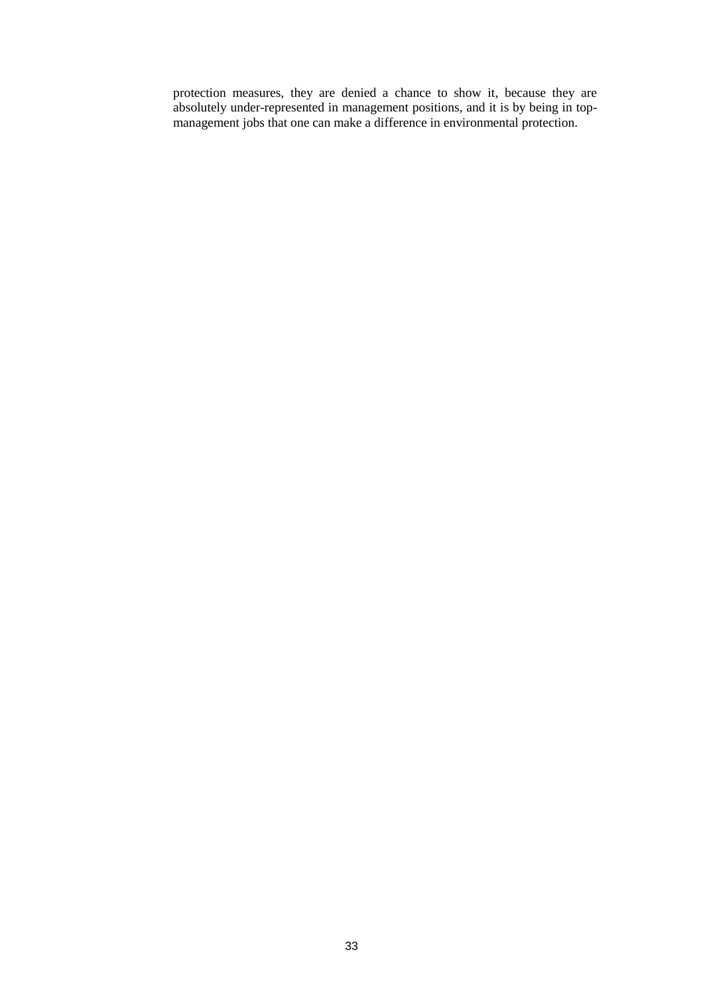protection measures, they are denied a chance to show it, because they are absolutely under-represented in management positions, and it is by being in topmanagement jobs that one can make a difference in environmental protection.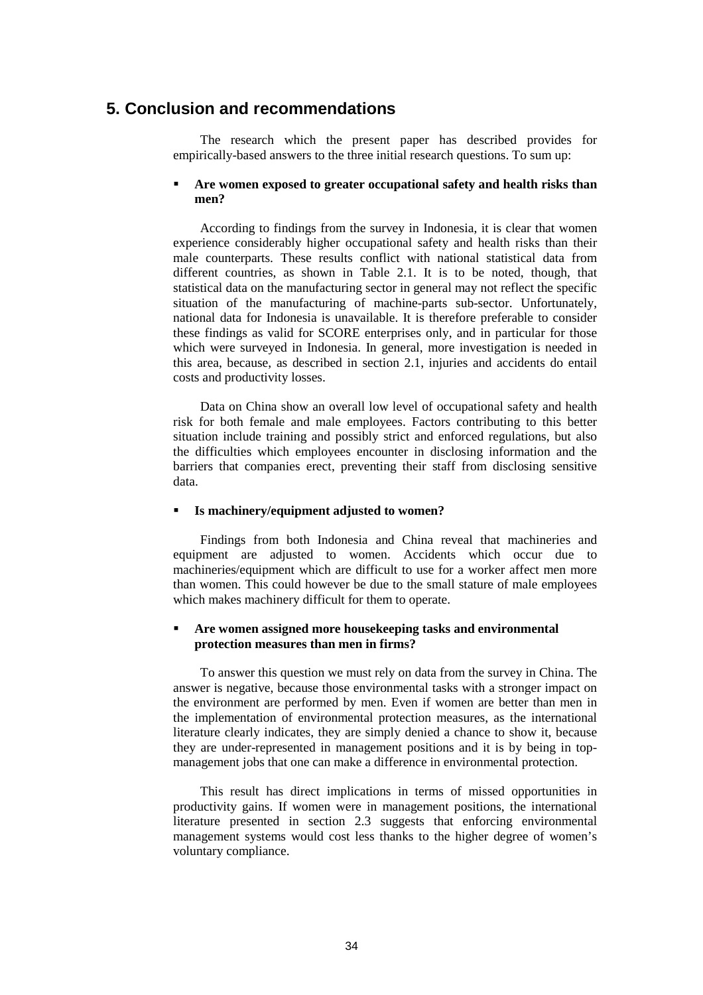# **5. Conclusion and recommendations**

The research which the present paper has described provides for empirically-based answers to the three initial research questions. To sum up:

#### **Are women exposed to greater occupational safety and health risks than men?**

According to findings from the survey in Indonesia, it is clear that women experience considerably higher occupational safety and health risks than their male counterparts. These results conflict with national statistical data from different countries, as shown in Table 2.1. It is to be noted, though, that statistical data on the manufacturing sector in general may not reflect the specific situation of the manufacturing of machine-parts sub-sector. Unfortunately, national data for Indonesia is unavailable. It is therefore preferable to consider these findings as valid for SCORE enterprises only, and in particular for those which were surveyed in Indonesia. In general, more investigation is needed in this area, because, as described in section 2.1, injuries and accidents do entail costs and productivity losses.

Data on China show an overall low level of occupational safety and health risk for both female and male employees. Factors contributing to this better situation include training and possibly strict and enforced regulations, but also the difficulties which employees encounter in disclosing information and the barriers that companies erect, preventing their staff from disclosing sensitive data.

#### **Is machinery/equipment adjusted to women?**

Findings from both Indonesia and China reveal that machineries and equipment are adjusted to women. Accidents which occur due to machineries/equipment which are difficult to use for a worker affect men more than women. This could however be due to the small stature of male employees which makes machinery difficult for them to operate.

#### **Are women assigned more housekeeping tasks and environmental protection measures than men in firms?**

To answer this question we must rely on data from the survey in China. The answer is negative, because those environmental tasks with a stronger impact on the environment are performed by men. Even if women are better than men in the implementation of environmental protection measures, as the international literature clearly indicates, they are simply denied a chance to show it, because they are under-represented in management positions and it is by being in topmanagement jobs that one can make a difference in environmental protection.

This result has direct implications in terms of missed opportunities in productivity gains. If women were in management positions, the international literature presented in section 2.3 suggests that enforcing environmental management systems would cost less thanks to the higher degree of women's voluntary compliance.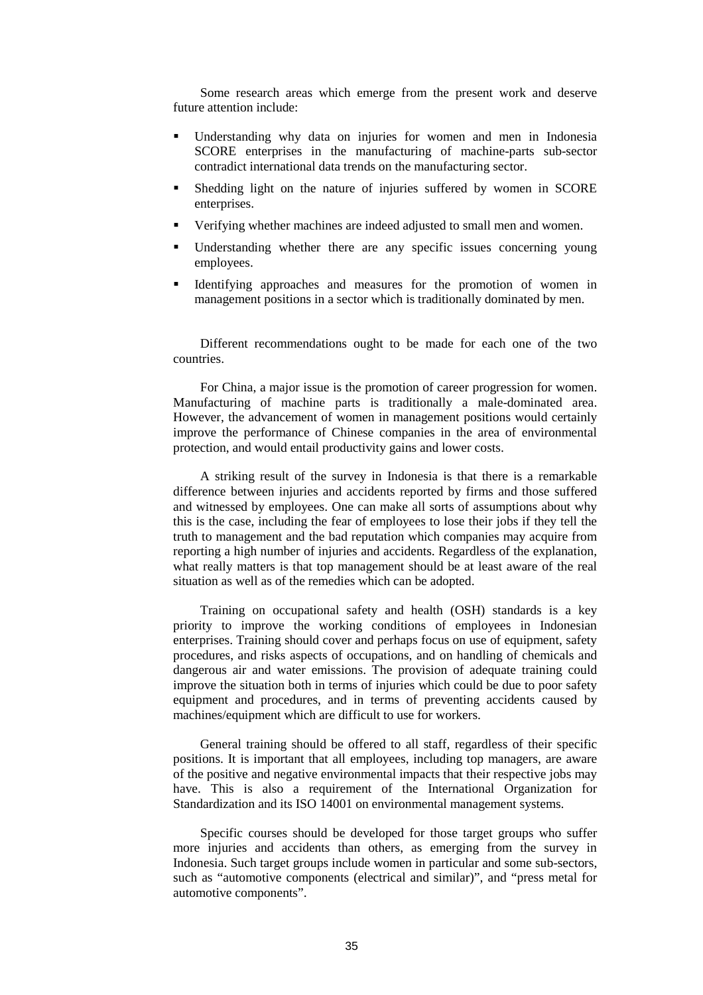Some research areas which emerge from the present work and deserve future attention include:

- Understanding why data on injuries for women and men in Indonesia SCORE enterprises in the manufacturing of machine-parts sub-sector contradict international data trends on the manufacturing sector.
- Shedding light on the nature of injuries suffered by women in SCORE enterprises.
- Verifying whether machines are indeed adjusted to small men and women.
- Understanding whether there are any specific issues concerning young employees.
- Identifying approaches and measures for the promotion of women in management positions in a sector which is traditionally dominated by men.

Different recommendations ought to be made for each one of the two countries.

For China, a major issue is the promotion of career progression for women. Manufacturing of machine parts is traditionally a male-dominated area. However, the advancement of women in management positions would certainly improve the performance of Chinese companies in the area of environmental protection, and would entail productivity gains and lower costs.

A striking result of the survey in Indonesia is that there is a remarkable difference between injuries and accidents reported by firms and those suffered and witnessed by employees. One can make all sorts of assumptions about why this is the case, including the fear of employees to lose their jobs if they tell the truth to management and the bad reputation which companies may acquire from reporting a high number of injuries and accidents. Regardless of the explanation, what really matters is that top management should be at least aware of the real situation as well as of the remedies which can be adopted.

Training on occupational safety and health (OSH) standards is a key priority to improve the working conditions of employees in Indonesian enterprises. Training should cover and perhaps focus on use of equipment, safety procedures, and risks aspects of occupations, and on handling of chemicals and dangerous air and water emissions. The provision of adequate training could improve the situation both in terms of injuries which could be due to poor safety equipment and procedures, and in terms of preventing accidents caused by machines/equipment which are difficult to use for workers.

General training should be offered to all staff, regardless of their specific positions. It is important that all employees, including top managers, are aware of the positive and negative environmental impacts that their respective jobs may have. This is also a requirement of the International Organization for Standardization and its ISO 14001 on environmental management systems.

Specific courses should be developed for those target groups who suffer more injuries and accidents than others, as emerging from the survey in Indonesia. Such target groups include women in particular and some sub-sectors, such as "automotive components (electrical and similar)", and "press metal for automotive components".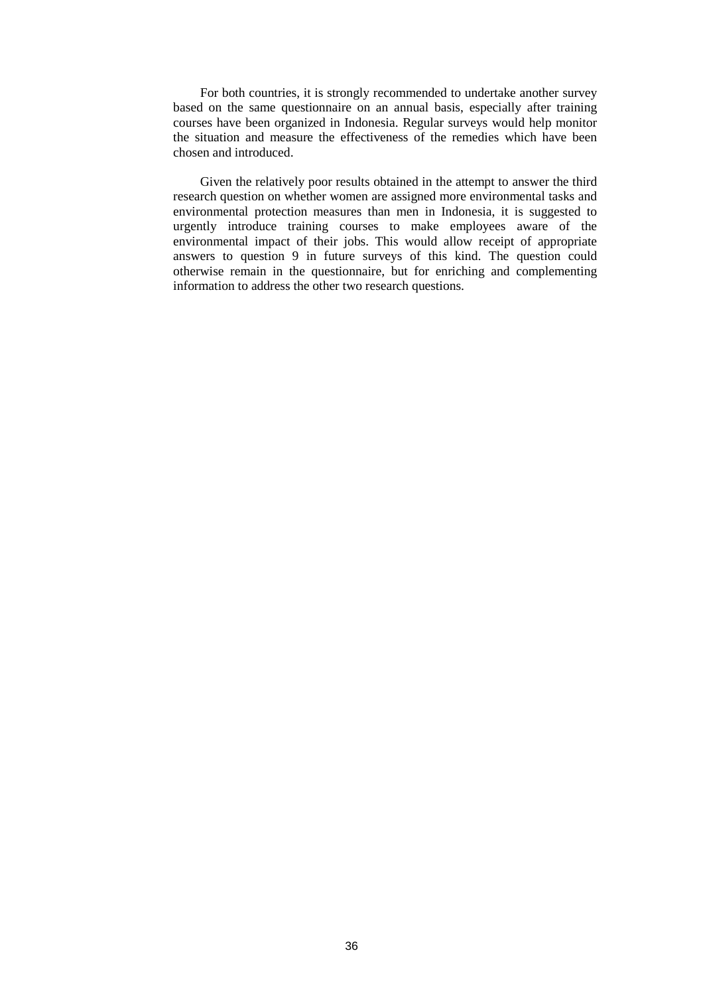For both countries, it is strongly recommended to undertake another survey based on the same questionnaire on an annual basis, especially after training courses have been organized in Indonesia. Regular surveys would help monitor the situation and measure the effectiveness of the remedies which have been chosen and introduced.

Given the relatively poor results obtained in the attempt to answer the third research question on whether women are assigned more environmental tasks and environmental protection measures than men in Indonesia, it is suggested to urgently introduce training courses to make employees aware of the environmental impact of their jobs. This would allow receipt of appropriate answers to question 9 in future surveys of this kind. The question could otherwise remain in the questionnaire, but for enriching and complementing information to address the other two research questions.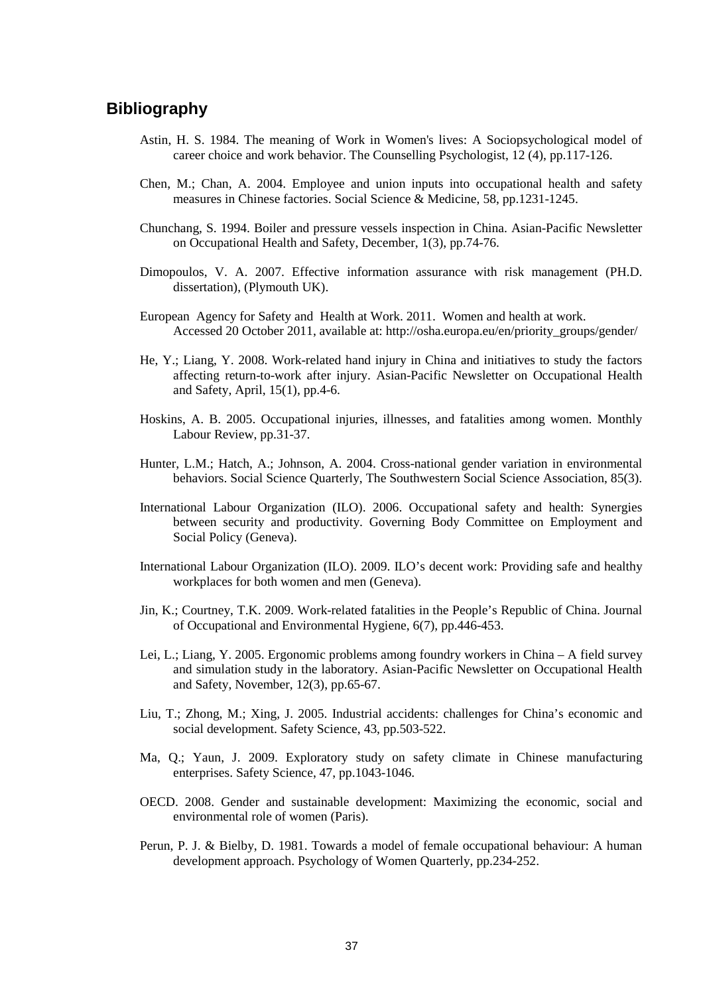# **Bibliography**

- Astin, H. S. 1984. The meaning of Work in Women's lives: A Sociopsychological model of career choice and work behavior. The Counselling Psychologist, 12 (4), pp.117-126.
- Chen, M.; Chan, A. 2004. Employee and union inputs into occupational health and safety measures in Chinese factories. Social Science & Medicine, 58, pp.1231-1245.
- Chunchang, S. 1994. Boiler and pressure vessels inspection in China. Asian-Pacific Newsletter on Occupational Health and Safety, December, 1(3), pp.74-76.
- Dimopoulos, V. A. 2007. Effective information assurance with risk management (PH.D. dissertation), (Plymouth UK).
- European Agency for Safety and Health at Work. 2011. Women and health at work. Accessed 20 October 2011, available at: http://osha.europa.eu/en/priority\_groups/gender/
- He, Y.; Liang, Y. 2008. Work-related hand injury in China and initiatives to study the factors affecting return-to-work after injury. Asian-Pacific Newsletter on Occupational Health and Safety, April, 15(1), pp.4-6.
- Hoskins, A. B. 2005. Occupational injuries, illnesses, and fatalities among women. Monthly Labour Review, pp.31-37.
- Hunter, L.M.; Hatch, A.; Johnson, A. 2004. Cross-national gender variation in environmental behaviors. Social Science Quarterly, The Southwestern Social Science Association, 85(3).
- International Labour Organization (ILO). 2006. Occupational safety and health: Synergies between security and productivity. Governing Body Committee on Employment and Social Policy (Geneva).
- International Labour Organization (ILO). 2009. ILO's decent work: Providing safe and healthy workplaces for both women and men (Geneva).
- Jin, K.; Courtney, T.K. 2009. Work-related fatalities in the People's Republic of China. Journal of Occupational and Environmental Hygiene, 6(7), pp.446-453.
- Lei, L.; Liang, Y. 2005. Ergonomic problems among foundry workers in China A field survey and simulation study in the laboratory. Asian-Pacific Newsletter on Occupational Health and Safety, November, 12(3), pp.65-67.
- Liu, T.; Zhong, M.; Xing, J. 2005. Industrial accidents: challenges for China's economic and social development. Safety Science, 43, pp.503-522.
- Ma, Q.; Yaun, J. 2009. Exploratory study on safety climate in Chinese manufacturing enterprises. Safety Science, 47, pp.1043-1046.
- OECD. 2008. Gender and sustainable development: Maximizing the economic, social and environmental role of women (Paris).
- Perun, P. J. & Bielby, D. 1981. Towards a model of female occupational behaviour: A human development approach. Psychology of Women Quarterly, pp.234-252.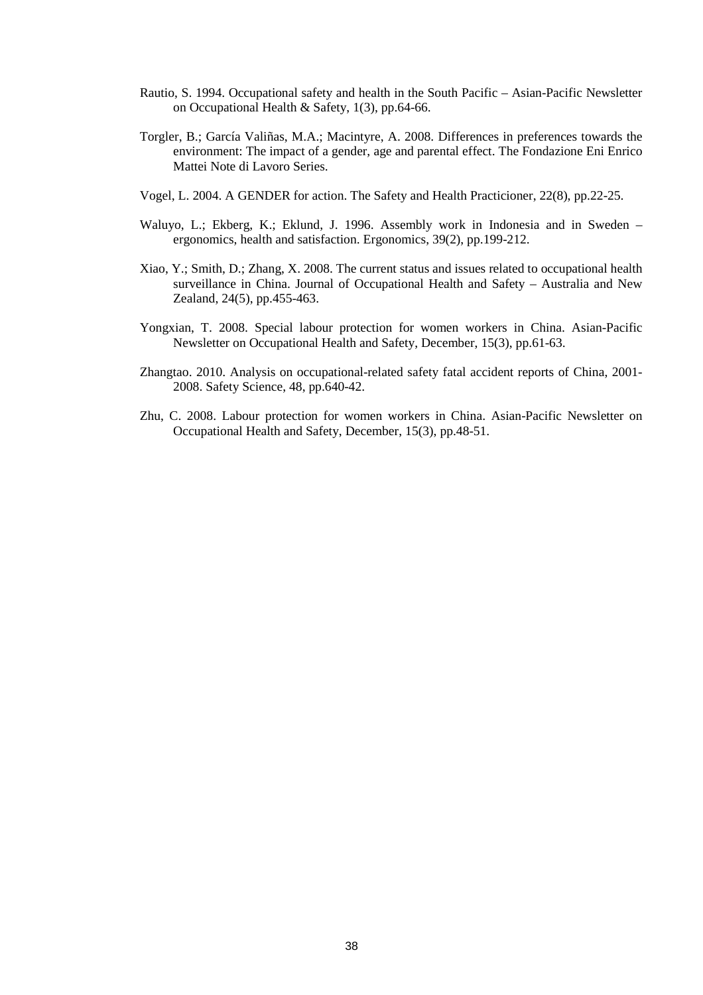- Rautio, S. 1994. Occupational safety and health in the South Pacific Asian-Pacific Newsletter on Occupational Health & Safety, 1(3), pp.64-66.
- Torgler, B.; García Valiñas, M.A.; Macintyre, A. 2008. Differences in preferences towards the environment: The impact of a gender, age and parental effect. The Fondazione Eni Enrico Mattei Note di Lavoro Series.
- Vogel, L. 2004. A GENDER for action. The Safety and Health Practicioner, 22(8), pp.22-25.
- Waluyo, L.; Ekberg, K.; Eklund, J. 1996. Assembly work in Indonesia and in Sweden ergonomics, health and satisfaction. Ergonomics, 39(2), pp.199-212.
- Xiao, Y.; Smith, D.; Zhang, X. 2008. The current status and issues related to occupational health surveillance in China. Journal of Occupational Health and Safety – Australia and New Zealand, 24(5), pp.455-463.
- Yongxian, T. 2008. Special labour protection for women workers in China. Asian-Pacific Newsletter on Occupational Health and Safety, December, 15(3), pp.61-63.
- Zhangtao. 2010. Analysis on occupational-related safety fatal accident reports of China, 2001- 2008. Safety Science, 48, pp.640-42.
- Zhu, C. 2008. Labour protection for women workers in China. Asian-Pacific Newsletter on Occupational Health and Safety, December, 15(3), pp.48-51.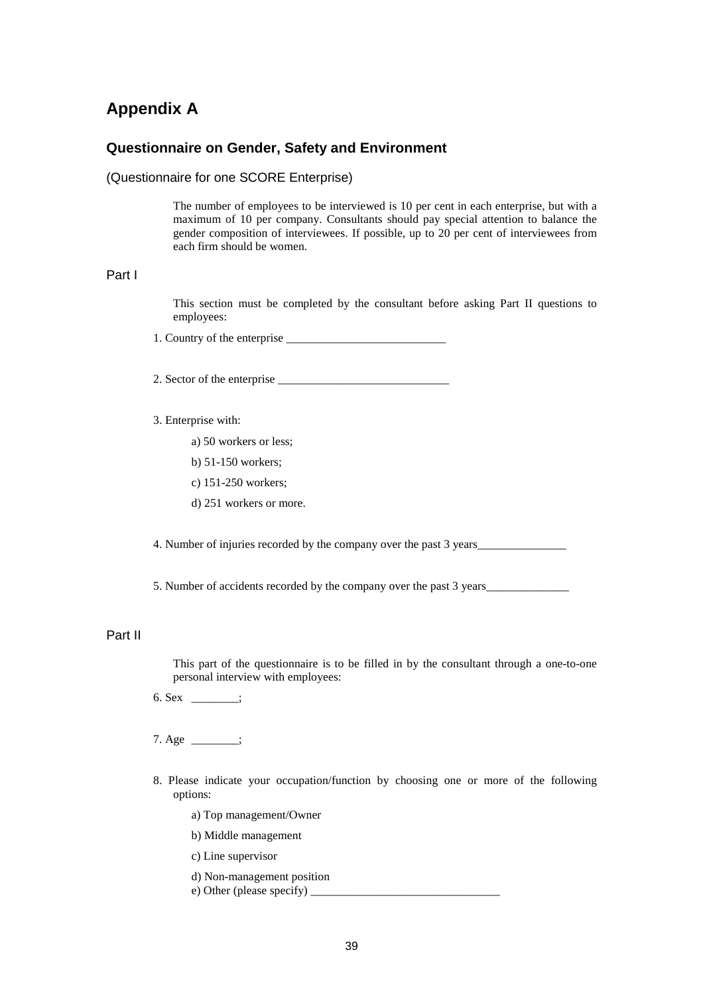# **Appendix A**

## **Questionnaire on Gender, Safety and Environment**

#### (Questionnaire for one SCORE Enterprise)

The number of employees to be interviewed is 10 per cent in each enterprise, but with a maximum of 10 per company. Consultants should pay special attention to balance the gender composition of interviewees. If possible, up to 20 per cent of interviewees from each firm should be women.

#### Part I

This section must be completed by the consultant before asking Part II questions to employees:

1. Country of the enterprise \_\_\_\_\_\_\_\_\_\_\_\_\_\_\_\_\_\_\_\_\_\_\_\_\_\_\_

2. Sector of the enterprise \_\_\_\_\_\_\_\_\_\_\_\_\_\_\_\_\_\_\_\_\_\_\_\_\_\_\_\_\_

#### 3. Enterprise with:

- a) 50 workers or less;
- b) 51-150 workers;
- c) 151-250 workers;
- d) 251 workers or more.

4. Number of injuries recorded by the company over the past 3 years\_\_\_\_\_\_\_\_\_\_\_\_\_\_

5. Number of accidents recorded by the company over the past 3 years\_\_\_\_\_\_\_\_\_\_\_\_\_\_

# Part II

This part of the questionnaire is to be filled in by the consultant through a one-to-one personal interview with employees:

- 6. Sex  $\frac{1}{\sqrt{1-\frac{1}{n}}}\;$
- $7. \text{Age} \_$
- 8. Please indicate your occupation/function by choosing one or more of the following options:
	- a) Top management/Owner
	- b) Middle management
	- c) Line supervisor
	- d) Non-management position
	- e) Other (please specify)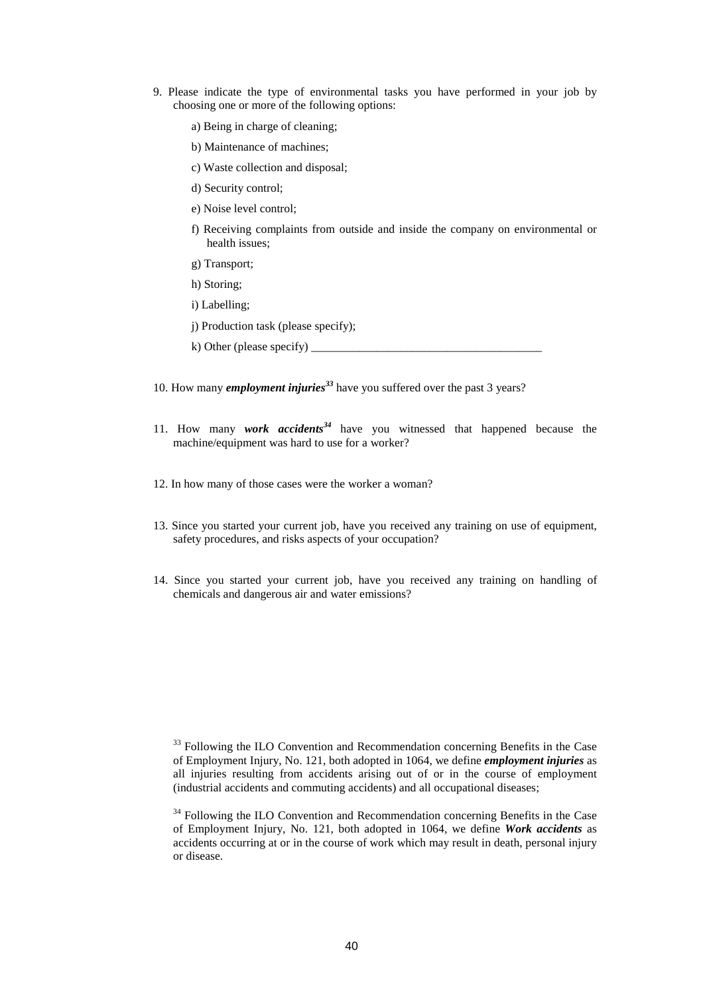- 9. Please indicate the type of environmental tasks you have performed in your job by choosing one or more of the following options:
	- a) Being in charge of cleaning;
	- b) Maintenance of machines;
	- c) Waste collection and disposal;
	- d) Security control;
	- e) Noise level control;
	- f) Receiving complaints from outside and inside the company on environmental or health issues;
	- g) Transport;
	- h) Storing;
	- i) Labelling;
	- j) Production task (please specify);
	- $k)$  Other (please specify)
- 10. How many *employment injuries<sup>33</sup>* have you suffered over the past 3 years?
- 11. How many *work accidents<sup>34</sup>* have you witnessed that happened because the machine/equipment was hard to use for a worker?
- 12. In how many of those cases were the worker a woman?
- 13. Since you started your current job, have you received any training on use of equipment, safety procedures, and risks aspects of your occupation?
- 14. Since you started your current job, have you received any training on handling of chemicals and dangerous air and water emissions?

 $33$  Following the ILO Convention and Recommendation concerning Benefits in the Case of Employment Injury, No. 121, both adopted in 1064, we define *employment injuries* as all injuries resulting from accidents arising out of or in the course of employment (industrial accidents and commuting accidents) and all occupational diseases;

<sup>&</sup>lt;sup>34</sup> Following the ILO Convention and Recommendation concerning Benefits in the Case of Employment Injury, No. 121, both adopted in 1064, we define *Work accidents* as accidents occurring at or in the course of work which may result in death, personal injury or disease.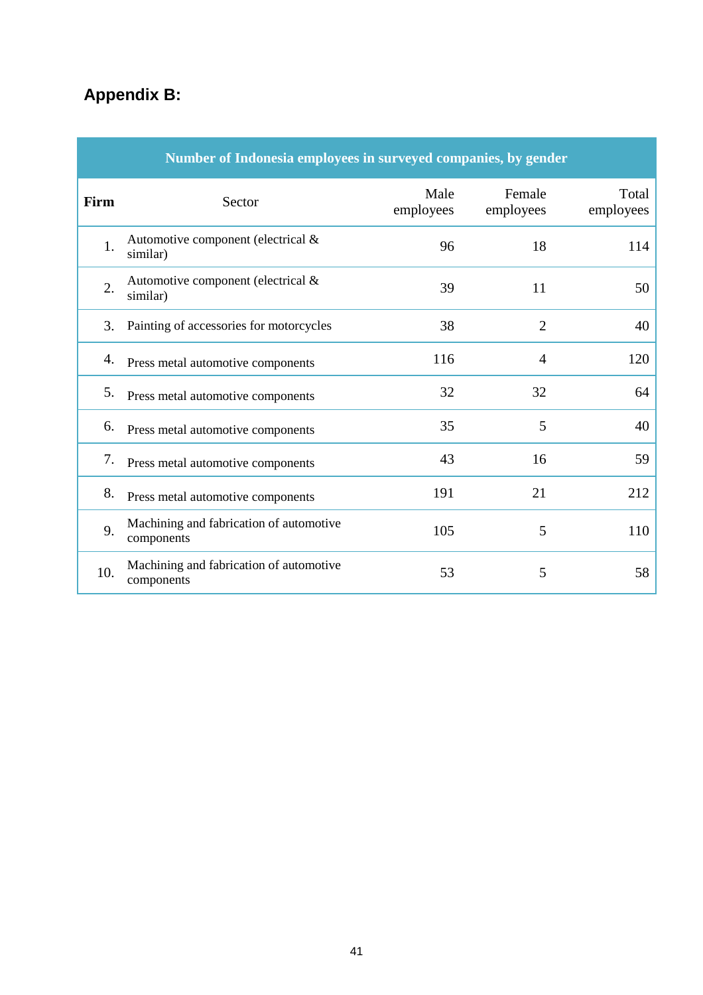# **Appendix B:**

| Number of Indonesia employees in surveyed companies, by gender |                                                       |                   |                     |                    |
|----------------------------------------------------------------|-------------------------------------------------------|-------------------|---------------------|--------------------|
| Firm                                                           | Sector                                                | Male<br>employees | Female<br>employees | Total<br>employees |
| 1.                                                             | Automotive component (electrical $\&$<br>similar)     | 96                | 18                  | 114                |
| 2.                                                             | Automotive component (electrical &<br>similar)        | 39                | 11                  | 50                 |
| 3.                                                             | Painting of accessories for motorcycles               | 38                | $\overline{2}$      | 40                 |
| 4.                                                             | Press metal automotive components                     | 116               | $\overline{4}$      | 120                |
| 5.                                                             | Press metal automotive components                     | 32                | 32                  | 64                 |
| 6.                                                             | Press metal automotive components                     | 35                | 5                   | 40                 |
| 7.                                                             | Press metal automotive components                     | 43                | 16                  | 59                 |
| 8.                                                             | Press metal automotive components                     | 191               | 21                  | 212                |
| 9.                                                             | Machining and fabrication of automotive<br>components | 105               | 5                   | 110                |
| 10.                                                            | Machining and fabrication of automotive<br>components | 53                | 5                   | 58                 |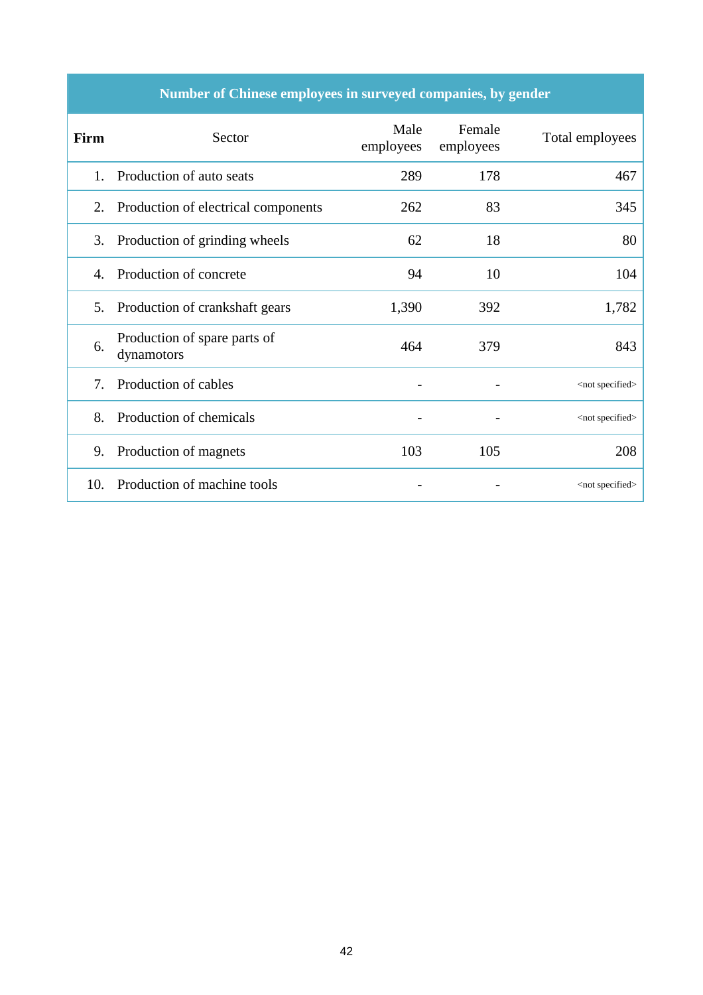| Number of Chinese employees in surveyed companies, by gender |  |  |
|--------------------------------------------------------------|--|--|

| Firm | Sector                                     | Male<br>employees | Female<br>employees | Total employees          |
|------|--------------------------------------------|-------------------|---------------------|--------------------------|
| 1.   | Production of auto seats                   | 289               | 178                 | 467                      |
| 2.   | Production of electrical components        | 262               | 83                  | 345                      |
| 3.   | Production of grinding wheels              | 62                | 18                  | 80                       |
| 4.   | Production of concrete                     | 94                | 10                  | 104                      |
| 5.   | Production of crankshaft gears             | 1,390             | 392                 | 1,782                    |
| 6.   | Production of spare parts of<br>dynamotors | 464               | 379                 | 843                      |
| 7.   | Production of cables                       |                   |                     | <not specified=""></not> |
| 8.   | Production of chemicals                    |                   |                     | <not specified=""></not> |
| 9.   | Production of magnets                      | 103               | 105                 | 208                      |
| 10.  | Production of machine tools                |                   |                     | <not specified=""></not> |